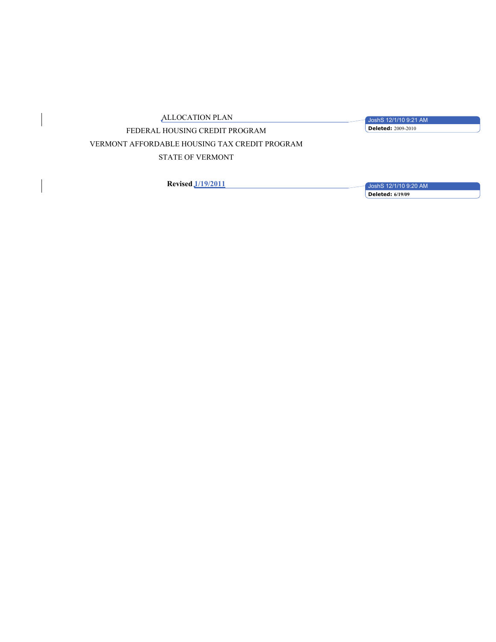ALLOCATION PLAN

JoshS 12/1/10 9:21 AM **Deleted:** 2009-2010

FEDERAL HOUSING CREDIT PROGRAM VERMONT AFFORDABLE HOUSING TAX CREDIT PROGRAM STATE OF VERMONT

**Revised 1/19/2011**

JoshS 12/1/10 9:20 AM **Deleted: 6/19/09**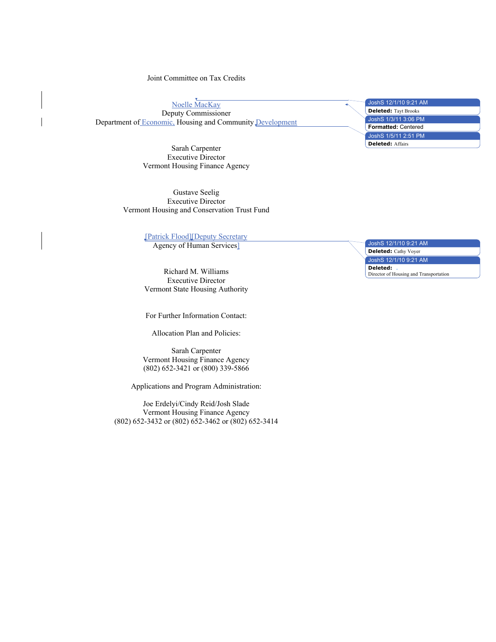Joint Committee on Tax Credits

Noelle MacKay Deputy Commissioner Department of Economic, Housing and Community Development

> Sarah Carpenter Executive Director Vermont Housing Finance Agency

Gustave Seelig Executive Director Vermont Housing and Conservation Trust Fund

[Patrick Flood][Deputy Secretary

Agency of Human Services]

Richard M. Williams Executive Director Vermont State Housing Authority

For Further Information Contact:

Allocation Plan and Policies:

Sarah Carpenter Vermont Housing Finance Agency (802) 652-3421 or (800) 339-5866

Applications and Program Administration:

Joe Erdelyi/Cindy Reid/Josh Slade Vermont Housing Finance Agency (802) 652-3432 or (802) 652-3462 or (802) 652-3414

| JoshS 12/1/10 9:21 AM       |  |
|-----------------------------|--|
| <b>Deleted:</b> Tayt Brooks |  |
| JoshŠ 1/3/11 3:06 PM        |  |
| <b>Formatted: Centered</b>  |  |
| JoshS 1/5/11 2:51 PM        |  |
| <b>Deleted: Affairs</b>     |  |

JoshS 12/1/10 9:21 AM

**Deleted:** Cathy Voyer

JoshS 12/1/10 9:21 AM

**Deleted:**  Director of Housing and Transportation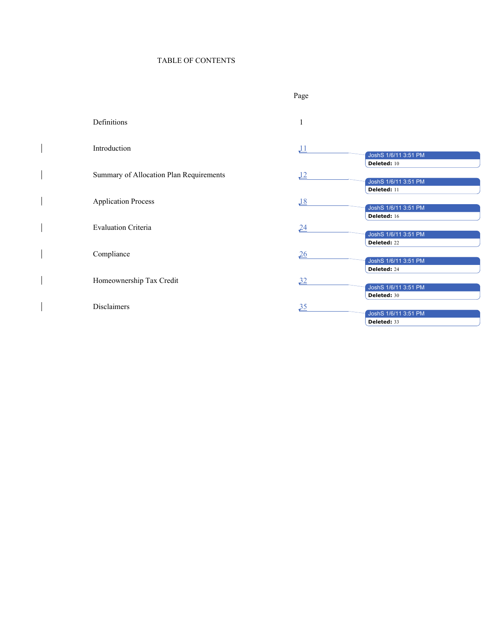# TABLE OF CONTENTS

 $\mathbf{I}$ 

 $\begin{array}{c} \hline \end{array}$ 

 $\begin{array}{c} \hline \end{array}$ 

 $\mathbf{I}$ 

 $\mathbf{I}$ 

 $\mathbf{I}$ 

 $\begin{array}{c} \hline \end{array}$ 

|                                         | Page             |                                                    |
|-----------------------------------------|------------------|----------------------------------------------------|
| Definitions                             | 1                |                                                    |
| Introduction                            | $\perp$          | JoshS 1/6/11 3:51 PM<br>Deleted: 10                |
| Summary of Allocation Plan Requirements | $\underline{12}$ | JoshS 1/6/11 3:51 PM<br>Deleted: 11                |
| <b>Application Process</b>              | $\underline{18}$ | JoshS 1/6/11 3:51 PM                               |
| <b>Evaluation Criteria</b>              | 24               | Deleted: 16<br>JoshS 1/6/11 3:51 PM                |
| Compliance                              | $\frac{26}{5}$   | Deleted: 22<br>JoshS 1/6/11 3:51 PM                |
| Homeownership Tax Credit                | 32               | Deleted: 24<br>JoshS 1/6/11 3:51 PM                |
| <b>Disclaimers</b>                      | 35               | Deleted: 30<br>JoshS 1/6/11 3:51 PM<br>Deleted: 33 |
|                                         |                  |                                                    |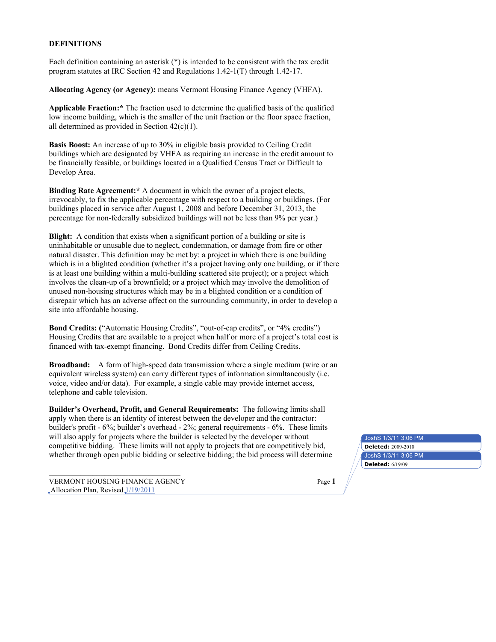#### **DEFINITIONS**

Each definition containing an asterisk (\*) is intended to be consistent with the tax credit program statutes at IRC Section 42 and Regulations 1.42-1(T) through 1.42-17.

**Allocating Agency (or Agency):** means Vermont Housing Finance Agency (VHFA).

**Applicable Fraction:\*** The fraction used to determine the qualified basis of the qualified low income building, which is the smaller of the unit fraction or the floor space fraction, all determined as provided in Section 42(c)(1).

**Basis Boost:** An increase of up to 30% in eligible basis provided to Ceiling Credit buildings which are designated by VHFA as requiring an increase in the credit amount to be financially feasible, or buildings located in a Qualified Census Tract or Difficult to Develop Area.

**Binding Rate Agreement:\*** A document in which the owner of a project elects, irrevocably, to fix the applicable percentage with respect to a building or buildings. (For buildings placed in service after August 1, 2008 and before December 31, 2013, the percentage for non-federally subsidized buildings will not be less than 9% per year.)

**Blight:** A condition that exists when a significant portion of a building or site is uninhabitable or unusable due to neglect, condemnation, or damage from fire or other natural disaster. This definition may be met by: a project in which there is one building which is in a blighted condition (whether it's a project having only one building, or if there is at least one building within a multi-building scattered site project); or a project which involves the clean-up of a brownfield; or a project which may involve the demolition of unused non-housing structures which may be in a blighted condition or a condition of disrepair which has an adverse affect on the surrounding community, in order to develop a site into affordable housing.

**Bond Credits: (**"Automatic Housing Credits", "out-of-cap credits", or "4% credits") Housing Credits that are available to a project when half or more of a project's total cost is financed with tax-exempt financing. Bond Credits differ from Ceiling Credits.

**Broadband:** A form of high-speed data transmission where a single medium (wire or an equivalent wireless system) can carry different types of information simultaneously (i.e. voice, video and/or data). For example, a single cable may provide internet access, telephone and cable television.

**Builder's Overhead, Profit, and General Requirements:** The following limits shall apply when there is an identity of interest between the developer and the contractor: builder's profit - 6%; builder's overhead - 2%; general requirements - 6%. These limits will also apply for projects where the builder is selected by the developer without competitive bidding. These limits will not apply to projects that are competitively bid, whether through open public bidding or selective bidding; the bid process will determine

VERMONT HOUSING FINANCE AGENCY Page **1**  $\Box$ Allocation Plan, Revised $\Box$ /19/2011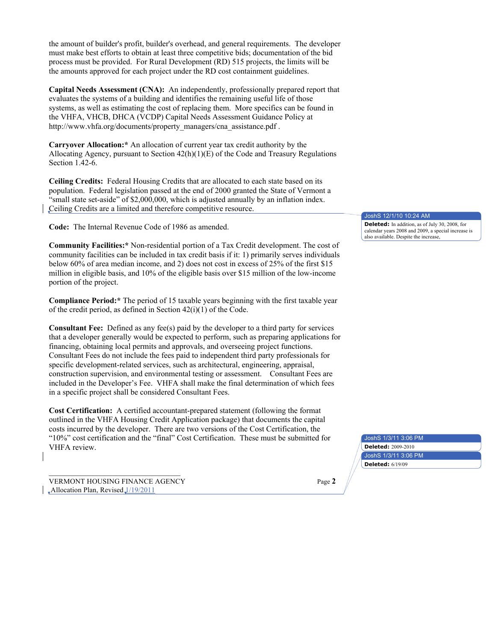the amount of builder's profit, builder's overhead, and general requirements. The developer must make best efforts to obtain at least three competitive bids; documentation of the bid process must be provided. For Rural Development (RD) 515 projects, the limits will be the amounts approved for each project under the RD cost containment guidelines.

**Capital Needs Assessment (CNA):** An independently, professionally prepared report that evaluates the systems of a building and identifies the remaining useful life of those systems, as well as estimating the cost of replacing them. More specifics can be found in the VHFA, VHCB, DHCA (VCDP) Capital Needs Assessment Guidance Policy at http://www.vhfa.org/documents/property\_managers/cna\_assistance.pdf .

**Carryover Allocation:\*** An allocation of current year tax credit authority by the Allocating Agency, pursuant to Section  $42(h)(1)(E)$  of the Code and Treasury Regulations Section 1.42-6.

**Ceiling Credits:** Federal Housing Credits that are allocated to each state based on its population. Federal legislation passed at the end of 2000 granted the State of Vermont a "small state set-aside" of \$2,000,000, which is adjusted annually by an inflation index. Ceiling Credits are a limited and therefore competitive resource.

**Code:** The Internal Revenue Code of 1986 as amended.

**Community Facilities:\*** Non-residential portion of a Tax Credit development. The cost of community facilities can be included in tax credit basis if it: 1) primarily serves individuals below 60% of area median income, and 2) does not cost in excess of 25% of the first \$15 million in eligible basis, and 10% of the eligible basis over \$15 million of the low-income portion of the project.

**Compliance Period:\*** The period of 15 taxable years beginning with the first taxable year of the credit period, as defined in Section 42(i)(1) of the Code.

**Consultant Fee:** Defined as any fee(s) paid by the developer to a third party for services that a developer generally would be expected to perform, such as preparing applications for financing, obtaining local permits and approvals, and overseeing project functions. Consultant Fees do not include the fees paid to independent third party professionals for specific development-related services, such as architectural, engineering, appraisal, construction supervision, and environmental testing or assessment. Consultant Fees are included in the Developer's Fee. VHFA shall make the final determination of which fees in a specific project shall be considered Consultant Fees.

**Cost Certification:** A certified accountant-prepared statement (following the format outlined in the VHFA Housing Credit Application package) that documents the capital costs incurred by the developer. There are two versions of the Cost Certification, the "10%" cost certification and the "final" Cost Certification. These must be submitted for VHFA review.

VERMONT HOUSING FINANCE AGENCY Page **2** "Allocation Plan, Revised 1/19/2011

JoshS 12/1/10 10:24 AM

**Deleted:** In addition, as of July 30, 2008, for calendar years 2008 and 2009, a special increase is also available. Despite the increase,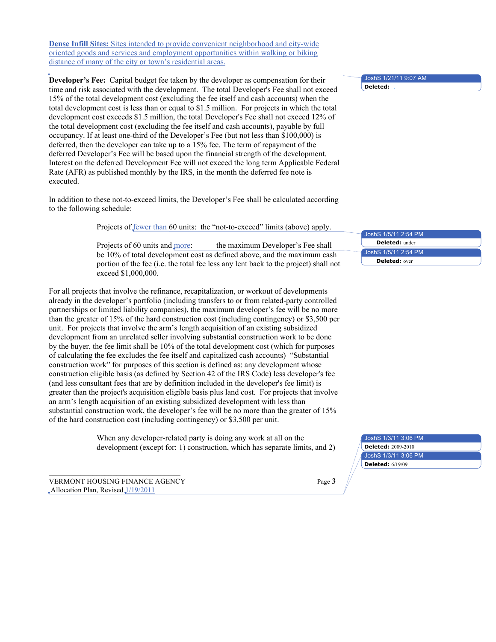**Dense Infill Sites:** Sites intended to provide convenient neighborhood and city-wide oriented goods and services and employment opportunities within walking or biking distance of many of the city or town's residential areas.

**Developer's Fee:** Capital budget fee taken by the developer as compensation for their time and risk associated with the development. The total Developer's Fee shall not exceed 15% of the total development cost (excluding the fee itself and cash accounts) when the total development cost is less than or equal to \$1.5 million. For projects in which the total development cost exceeds \$1.5 million, the total Developer's Fee shall not exceed 12% of the total development cost (excluding the fee itself and cash accounts), payable by full occupancy. If at least one-third of the Developer's Fee (but not less than \$100,000) is deferred, then the developer can take up to a 15% fee. The term of repayment of the deferred Developer's Fee will be based upon the financial strength of the development. Interest on the deferred Development Fee will not exceed the long term Applicable Federal Rate (AFR) as published monthly by the IRS, in the month the deferred fee note is executed.

In addition to these not-to-exceed limits, the Developer's Fee shall be calculated according to the following schedule:

Projects of fewer than 60 units: the "not-to-exceed" limits (above) apply.

Projects of 60 units and more: the maximum Developer's Fee shall be 10% of total development cost as defined above, and the maximum cash portion of the fee (i.e. the total fee less any lent back to the project) shall not exceed \$1,000,000.

For all projects that involve the refinance, recapitalization, or workout of developments already in the developer's portfolio (including transfers to or from related-party controlled partnerships or limited liability companies), the maximum developer's fee will be no more than the greater of 15% of the hard construction cost (including contingency) or \$3,500 per unit. For projects that involve the arm's length acquisition of an existing subsidized development from an unrelated seller involving substantial construction work to be done by the buyer, the fee limit shall be 10% of the total development cost (which for purposes of calculating the fee excludes the fee itself and capitalized cash accounts) "Substantial construction work" for purposes of this section is defined as: any development whose construction eligible basis (as defined by Section 42 of the IRS Code) less developer's fee (and less consultant fees that are by definition included in the developer's fee limit) is greater than the project's acquisition eligible basis plus land cost. For projects that involve an arm's length acquisition of an existing subsidized development with less than substantial construction work, the developer's fee will be no more than the greater of 15% of the hard construction cost (including contingency) or \$3,500 per unit.

> When any developer-related party is doing any work at all on the development (except for: 1) construction, which has separate limits, and 2)

VERMONT HOUSING FINANCE AGENCY Page **3** "Allocation Plan, Revised 1/19/2011

JoshS 1/21/11 9:07 AM

**Deleted:** 

JoshS 1/5/11 2:54 PM JoshS 1/5/11 2:54 PM **Deleted:** under **Deleted:** over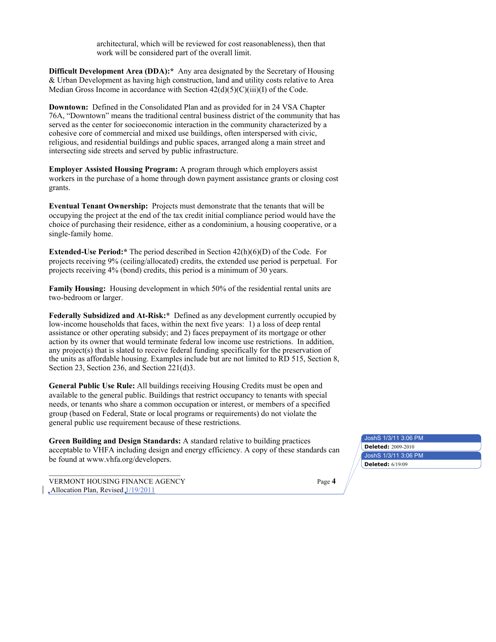architectural, which will be reviewed for cost reasonableness), then that work will be considered part of the overall limit.

**Difficult Development Area (DDA):**\* Any area designated by the Secretary of Housing & Urban Development as having high construction, land and utility costs relative to Area Median Gross Income in accordance with Section  $42(d)(5)(C)(iii)(I)$  of the Code.

**Downtown:** Defined in the Consolidated Plan and as provided for in 24 VSA Chapter 76A, "Downtown" means the traditional central business district of the community that has served as the center for socioeconomic interaction in the community characterized by a cohesive core of commercial and mixed use buildings, often interspersed with civic, religious, and residential buildings and public spaces, arranged along a main street and intersecting side streets and served by public infrastructure.

**Employer Assisted Housing Program:** A program through which employers assist workers in the purchase of a home through down payment assistance grants or closing cost grants.

**Eventual Tenant Ownership:** Projects must demonstrate that the tenants that will be occupying the project at the end of the tax credit initial compliance period would have the choice of purchasing their residence, either as a condominium, a housing cooperative, or a single-family home.

**Extended-Use Period:\*** The period described in Section 42(h)(6)(D) of the Code. For projects receiving 9% (ceiling/allocated) credits, the extended use period is perpetual. For projects receiving 4% (bond) credits, this period is a minimum of 30 years.

**Family Housing:** Housing development in which 50% of the residential rental units are two-bedroom or larger.

**Federally Subsidized and At-Risk:\*** Defined as any development currently occupied by low-income households that faces, within the next five years: 1) a loss of deep rental assistance or other operating subsidy; and 2) faces prepayment of its mortgage or other action by its owner that would terminate federal low income use restrictions. In addition, any project(s) that is slated to receive federal funding specifically for the preservation of the units as affordable housing. Examples include but are not limited to RD 515, Section 8, Section 23, Section 236, and Section 221(d)3.

**General Public Use Rule:** All buildings receiving Housing Credits must be open and available to the general public. Buildings that restrict occupancy to tenants with special needs, or tenants who share a common occupation or interest, or members of a specified group (based on Federal, State or local programs or requirements) do not violate the general public use requirement because of these restrictions.

**Green Building and Design Standards:** A standard relative to building practices acceptable to VHFA including design and energy efficiency. A copy of these standards can be found at www.vhfa.org/developers.

VERMONT HOUSING FINANCE AGENCY Page **4**  $\Box$ Allocation Plan, Revised $\Box$ /19/2011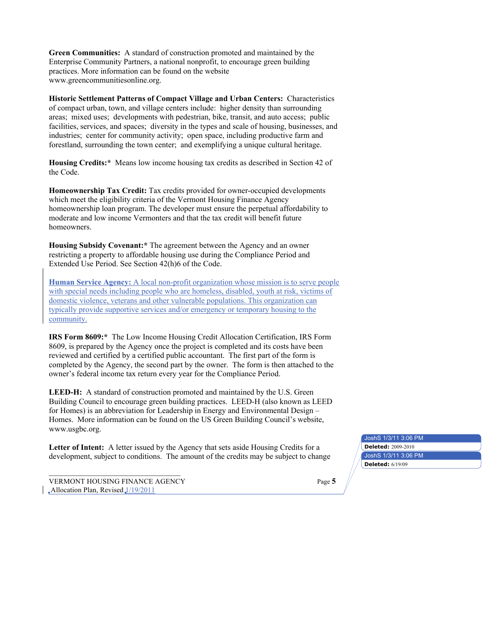**Green Communities:** A standard of construction promoted and maintained by the Enterprise Community Partners, a national nonprofit, to encourage green building practices. More information can be found on the website www.greencommunitiesonline.org.

**Historic Settlement Patterns of Compact Village and Urban Centers:** Characteristics of compact urban, town, and village centers include: higher density than surrounding areas; mixed uses; developments with pedestrian, bike, transit, and auto access; public facilities, services, and spaces; diversity in the types and scale of housing, businesses, and industries; center for community activity; open space, including productive farm and forestland, surrounding the town center; and exemplifying a unique cultural heritage.

**Housing Credits:\*** Means low income housing tax credits as described in Section 42 of the Code.

**Homeownership Tax Credit:** Tax credits provided for owner-occupied developments which meet the eligibility criteria of the Vermont Housing Finance Agency homeownership loan program. The developer must ensure the perpetual affordability to moderate and low income Vermonters and that the tax credit will benefit future homeowners.

**Housing Subsidy Covenant:\*** The agreement between the Agency and an owner restricting a property to affordable housing use during the Compliance Period and Extended Use Period. See Section 42(h)6 of the Code.

**Human Service Agency:** A local non-profit organization whose mission is to serve people with special needs including people who are homeless, disabled, youth at risk, victims of domestic violence, veterans and other vulnerable populations. This organization can typically provide supportive services and/or emergency or temporary housing to the community.

**IRS Form 8609:\*** The Low Income Housing Credit Allocation Certification, IRS Form 8609, is prepared by the Agency once the project is completed and its costs have been reviewed and certified by a certified public accountant. The first part of the form is completed by the Agency, the second part by the owner. The form is then attached to the owner's federal income tax return every year for the Compliance Period.

**LEED-H:** A standard of construction promoted and maintained by the U.S. Green Building Council to encourage green building practices. LEED-H (also known as LEED for Homes) is an abbreviation for Leadership in Energy and Environmental Design – Homes. More information can be found on the US Green Building Council's website, www.usgbc.org.

Letter of Intent: A letter issued by the Agency that sets aside Housing Credits for a development, subject to conditions. The amount of the credits may be subject to change

VERMONT HOUSING FINANCE AGENCY Page **5**  $\Box$ Allocation Plan, Revised $\Box$ /19/2011

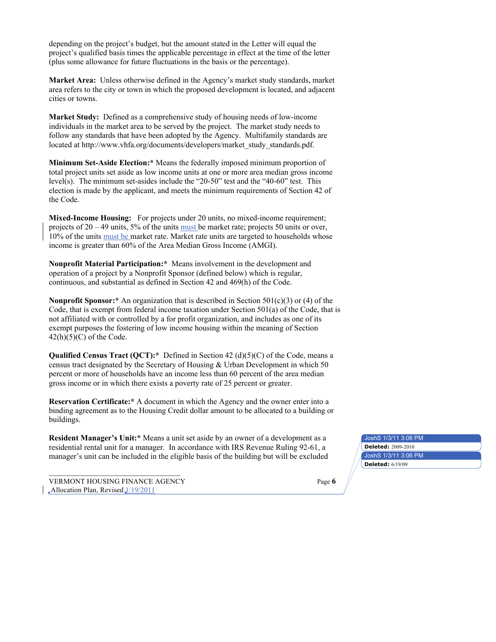depending on the project's budget, but the amount stated in the Letter will equal the project's qualified basis times the applicable percentage in effect at the time of the letter (plus some allowance for future fluctuations in the basis or the percentage).

**Market Area:** Unless otherwise defined in the Agency's market study standards, market area refers to the city or town in which the proposed development is located, and adjacent cities or towns.

**Market Study:** Defined as a comprehensive study of housing needs of low-income individuals in the market area to be served by the project. The market study needs to follow any standards that have been adopted by the Agency. Multifamily standards are located at http://www.vhfa.org/documents/developers/market\_study\_standards.pdf.

**Minimum Set-Aside Election:\*** Means the federally imposed minimum proportion of total project units set aside as low income units at one or more area median gross income level(s). The minimum set-asides include the "20-50" test and the "40-60" test. This election is made by the applicant, and meets the minimum requirements of Section 42 of the Code.

**Mixed-Income Housing:** For projects under 20 units, no mixed-income requirement; projects of 20 – 49 units, 5% of the units must be market rate; projects 50 units or over, 10% of the units must be market rate. Market rate units are targeted to households whose income is greater than 60% of the Area Median Gross Income (AMGI).

**Nonprofit Material Participation:\*** Means involvement in the development and operation of a project by a Nonprofit Sponsor (defined below) which is regular, continuous, and substantial as defined in Section 42 and 469(h) of the Code.

**Nonprofit Sponsor:\*** An organization that is described in Section 501(c)(3) or (4) of the Code, that is exempt from federal income taxation under Section 501(a) of the Code, that is not affiliated with or controlled by a for profit organization, and includes as one of its exempt purposes the fostering of low income housing within the meaning of Section  $42(h)(5)(C)$  of the Code.

**Qualified Census Tract (QCT):\*** Defined in Section 42 (d)(5)(C) of the Code, means a census tract designated by the Secretary of Housing & Urban Development in which 50 percent or more of households have an income less than 60 percent of the area median gross income or in which there exists a poverty rate of 25 percent or greater.

**Reservation Certificate:\*** A document in which the Agency and the owner enter into a binding agreement as to the Housing Credit dollar amount to be allocated to a building or buildings.

**Resident Manager's Unit:\*** Means a unit set aside by an owner of a development as a residential rental unit for a manager. In accordance with IRS Revenue Ruling 92-61, a manager's unit can be included in the eligible basis of the building but will be excluded

VERMONT HOUSING FINANCE AGENCY Page **6**  $\Box$ Allocation Plan, Revised $\Box$ /19/2011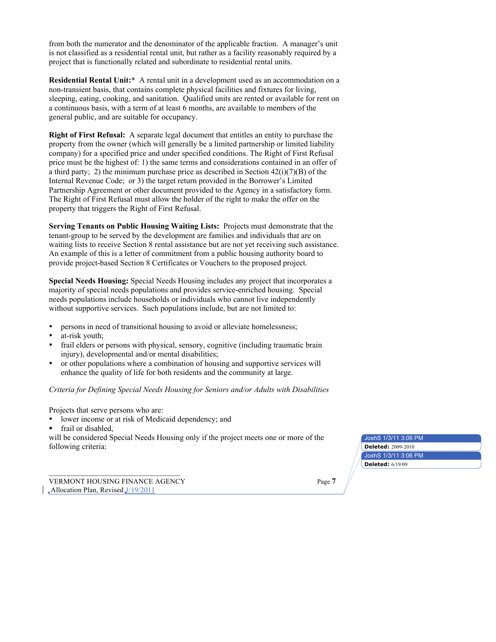from both the numerator and the denominator of the applicable fraction. A manager's unit is not classified as a residential rental unit, but rather as a facility reasonably required by a project that is functionally related and subordinate to residential rental units.

**Residential Rental Unit:\*** A rental unit in a development used as an accommodation on a non-transient basis, that contains complete physical facilities and fixtures for living, sleeping, eating, cooking, and sanitation. Qualified units are rented or available for rent on a continuous basis, with a term of at least 6 months, are available to members of the general public, and are suitable for occupancy.

**Right of First Refusal:** A separate legal document that entitles an entity to purchase the property from the owner (which will generally be a limited partnership or limited liability company) for a specified price and under specified conditions. The Right of First Refusal price must be the highest of: 1) the same terms and considerations contained in an offer of a third party; 2) the minimum purchase price as described in Section  $42(i)(7)(B)$  of the Internal Revenue Code; or 3) the target return provided in the Borrower's Limited Partnership Agreement or other document provided to the Agency in a satisfactory form. The Right of First Refusal must allow the holder of the right to make the offer on the property that triggers the Right of First Refusal.

**Serving Tenants on Public Housing Waiting Lists:** Projects must demonstrate that the tenant-group to be served by the development are families and individuals that are on waiting lists to receive Section 8 rental assistance but are not yet receiving such assistance. An example of this is a letter of commitment from a public housing authority board to provide project-based Section 8 Certificates or Vouchers to the proposed project.

**Special Needs Housing:** Special Needs Housing includes any project that incorporates a majority of special needs populations and provides service-enriched housing. Special needs populations include households or individuals who cannot live independently without supportive services. Such populations include, but are not limited to:

- persons in need of transitional housing to avoid or alleviate homelessness;
- at-risk youth:
- frail elders or persons with physical, sensory, cognitive (including traumatic brain injury), developmental and/or mental disabilities;
- or other populations where a combination of housing and supportive services will enhance the quality of life for both residents and the community at large.

### *Criteria for Defining Special Needs Housing for Seniors and/or Adults with Disabilities*

Projects that serve persons who are:

- lower income or at risk of Medicaid dependency; and
- frail or disabled,

will be considered Special Needs Housing only if the project meets one or more of the following criteria: **Deleted:** 2009-2010

JoshS 1/3/11 3:06 PM JoshS 1/3/11 3:06 PM **Deleted:** 6/19/09

VERMONT HOUSING FINANCE AGENCY Page **7**  $\Box$ Allocation Plan, Revised $\Box$ /19/2011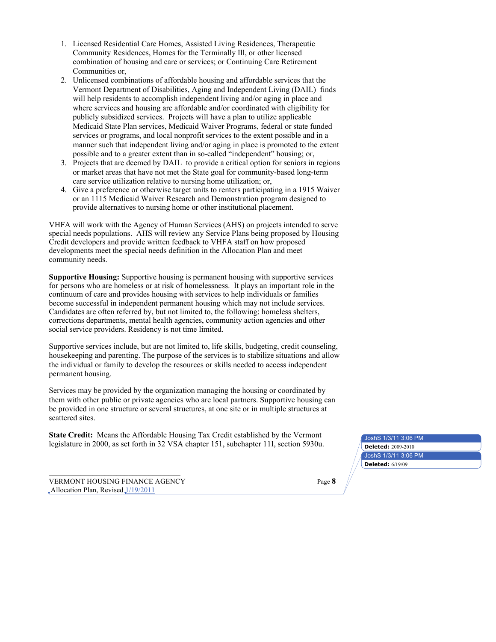- 1. Licensed Residential Care Homes, Assisted Living Residences, Therapeutic Community Residences, Homes for the Terminally Ill, or other licensed combination of housing and care or services; or Continuing Care Retirement Communities or,
- 2. Unlicensed combinations of affordable housing and affordable services that the Vermont Department of Disabilities, Aging and Independent Living (DAIL) finds will help residents to accomplish independent living and/or aging in place and where services and housing are affordable and/or coordinated with eligibility for publicly subsidized services. Projects will have a plan to utilize applicable Medicaid State Plan services, Medicaid Waiver Programs, federal or state funded services or programs, and local nonprofit services to the extent possible and in a manner such that independent living and/or aging in place is promoted to the extent possible and to a greater extent than in so-called "independent" housing; or,
- 3. Projects that are deemed by DAIL to provide a critical option for seniors in regions or market areas that have not met the State goal for community-based long-term care service utilization relative to nursing home utilization; or,
- 4. Give a preference or otherwise target units to renters participating in a 1915 Waiver or an 1115 Medicaid Waiver Research and Demonstration program designed to provide alternatives to nursing home or other institutional placement.

VHFA will work with the Agency of Human Services (AHS) on projects intended to serve special needs populations. AHS will review any Service Plans being proposed by Housing Credit developers and provide written feedback to VHFA staff on how proposed developments meet the special needs definition in the Allocation Plan and meet community needs.

**Supportive Housing:** Supportive housing is permanent housing with supportive services for persons who are homeless or at risk of homelessness. It plays an important role in the continuum of care and provides housing with services to help individuals or families become successful in independent permanent housing which may not include services. Candidates are often referred by, but not limited to, the following: homeless shelters, corrections departments, mental health agencies, community action agencies and other social service providers. Residency is not time limited.

Supportive services include, but are not limited to, life skills, budgeting, credit counseling, housekeeping and parenting. The purpose of the services is to stabilize situations and allow the individual or family to develop the resources or skills needed to access independent permanent housing.

Services may be provided by the organization managing the housing or coordinated by them with other public or private agencies who are local partners. Supportive housing can be provided in one structure or several structures, at one site or in multiple structures at scattered sites.

**State Credit:** Means the Affordable Housing Tax Credit established by the Vermont legislature in 2000, as set forth in 32 VSA chapter 151, subchapter 11I, section 5930u. **Deleted:**  $2009-2010$ 

VERMONT HOUSING FINANCE AGENCY Page **8**  $\Box$ Allocation Plan, Revised $\Box$ /19/2011

JoshS 1/3/11 3:06 PM JoshS 1/3/11 3:06 PM **Deleted:** 6/19/09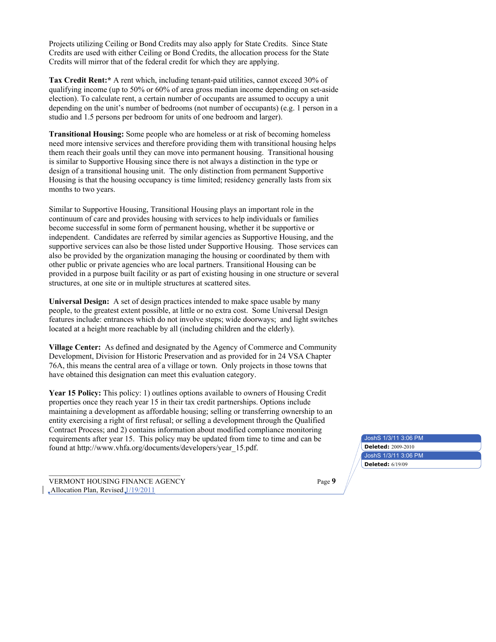Projects utilizing Ceiling or Bond Credits may also apply for State Credits. Since State Credits are used with either Ceiling or Bond Credits, the allocation process for the State Credits will mirror that of the federal credit for which they are applying.

**Tax Credit Rent:\*** A rent which, including tenant-paid utilities, cannot exceed 30% of qualifying income (up to 50% or 60% of area gross median income depending on set-aside election). To calculate rent, a certain number of occupants are assumed to occupy a unit depending on the unit's number of bedrooms (not number of occupants) (e.g. 1 person in a studio and 1.5 persons per bedroom for units of one bedroom and larger).

**Transitional Housing:** Some people who are homeless or at risk of becoming homeless need more intensive services and therefore providing them with transitional housing helps them reach their goals until they can move into permanent housing. Transitional housing is similar to Supportive Housing since there is not always a distinction in the type or design of a transitional housing unit. The only distinction from permanent Supportive Housing is that the housing occupancy is time limited; residency generally lasts from six months to two years.

Similar to Supportive Housing, Transitional Housing plays an important role in the continuum of care and provides housing with services to help individuals or families become successful in some form of permanent housing, whether it be supportive or independent. Candidates are referred by similar agencies as Supportive Housing, and the supportive services can also be those listed under Supportive Housing. Those services can also be provided by the organization managing the housing or coordinated by them with other public or private agencies who are local partners. Transitional Housing can be provided in a purpose built facility or as part of existing housing in one structure or several structures, at one site or in multiple structures at scattered sites.

**Universal Design:** A set of design practices intended to make space usable by many people, to the greatest extent possible, at little or no extra cost. Some Universal Design features include: entrances which do not involve steps; wide doorways; and light switches located at a height more reachable by all (including children and the elderly).

**Village Center:** As defined and designated by the Agency of Commerce and Community Development, Division for Historic Preservation and as provided for in 24 VSA Chapter 76A, this means the central area of a village or town. Only projects in those towns that have obtained this designation can meet this evaluation category.

Year 15 Policy: This policy: 1) outlines options available to owners of Housing Credit properties once they reach year 15 in their tax credit partnerships. Options include maintaining a development as affordable housing; selling or transferring ownership to an entity exercising a right of first refusal; or selling a development through the Qualified Contract Process; and 2) contains information about modified compliance monitoring requirements after year 15. This policy may be updated from time to time and can be found at http://www.vhfa.org/documents/developers/year\_15.pdf. **Deleted:** 2009-2010

VERMONT HOUSING FINANCE AGENCY Page **9**  $\Box$ Allocation Plan, Revised $\Box$ /19/2011

JoshS 1/3/11 3:06 PM JoshS 1/3/11 3:06 PM **Deleted:** 6/19/09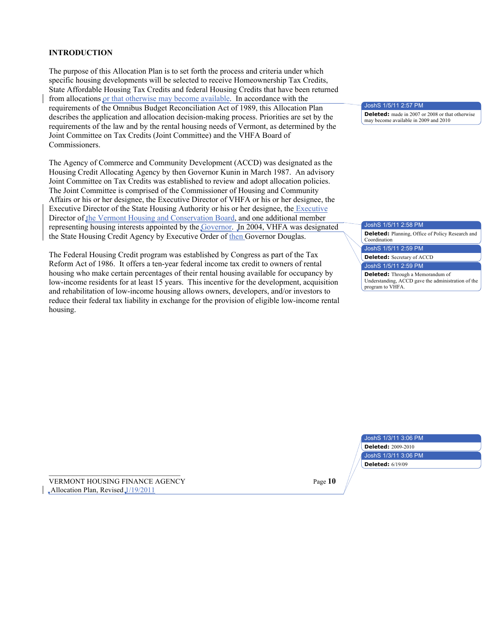### **INTRODUCTION**

The purpose of this Allocation Plan is to set forth the process and criteria under which specific housing developments will be selected to receive Homeownership Tax Credits, State Affordable Housing Tax Credits and federal Housing Credits that have been returned from allocations or that otherwise may become available. In accordance with the requirements of the Omnibus Budget Reconciliation Act of 1989, this Allocation Plan describes the application and allocation decision-making process. Priorities are set by the requirements of the law and by the rental housing needs of Vermont, as determined by the Joint Committee on Tax Credits (Joint Committee) and the VHFA Board of Commissioners.

The Agency of Commerce and Community Development (ACCD) was designated as the Housing Credit Allocating Agency by then Governor Kunin in March 1987. An advisory Joint Committee on Tax Credits was established to review and adopt allocation policies. The Joint Committee is comprised of the Commissioner of Housing and Community Affairs or his or her designee, the Executive Director of VHFA or his or her designee, the Executive Director of the State Housing Authority or his or her designee, the Executive Director of the Vermont Housing and Conservation Board, and one additional member representing housing interests appointed by the Governor. In 2004, VHFA was designated the State Housing Credit Agency by Executive Order of then Governor Douglas.

The Federal Housing Credit program was established by Congress as part of the Tax Reform Act of 1986. It offers a ten-year federal income tax credit to owners of rental housing who make certain percentages of their rental housing available for occupancy by low-income residents for at least 15 years. This incentive for the development, acquisition and rehabilitation of low-income housing allows owners, developers, and/or investors to reduce their federal tax liability in exchange for the provision of eligible low-income rental housing.

JoshS 1/5/11 2:57 PM

**Deleted:** made in 2007 or 2008 or that otherwise may become available in 2009 and 2010

#### JoshS 1/5/11 2:58 PM

**Deleted:** Planning, Office of Policy Research and Coordination

JoshS 1/5/11 2:59 PM

**Deleted:** Secretary of ACCD

JoshS 1/5/11 2:59 PM

**Deleted:** Through a Memorandum of Understanding, ACCD gave the administration of the program to VHFA.

| JoshS 1/3/11 3:06 PM      |
|---------------------------|
| <b>Deleted: 2009-2010</b> |
| JoshS 1/3/11 3:06 PM      |
| <b>Deleted: 6/19/09</b>   |

VERMONT HOUSING FINANCE AGENCY Page **10**  $\Box$ Allocation Plan, Revised $\Box$ /19/2011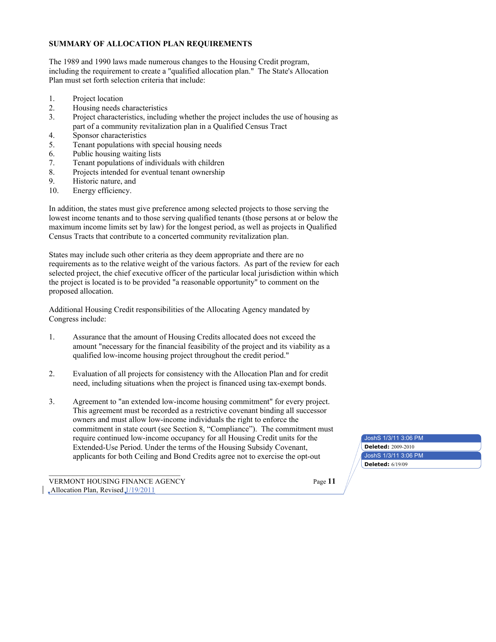### **SUMMARY OF ALLOCATION PLAN REQUIREMENTS**

The 1989 and 1990 laws made numerous changes to the Housing Credit program, including the requirement to create a "qualified allocation plan." The State's Allocation Plan must set forth selection criteria that include:

- 1. Project location
- 2. Housing needs characteristics
- 3. Project characteristics, including whether the project includes the use of housing as part of a community revitalization plan in a Qualified Census Tract
- 4. Sponsor characteristics
- 5. Tenant populations with special housing needs
- 6. Public housing waiting lists
- 7. Tenant populations of individuals with children
- 8. Projects intended for eventual tenant ownership
- 9. Historic nature, and
- 10. Energy efficiency.

In addition, the states must give preference among selected projects to those serving the lowest income tenants and to those serving qualified tenants (those persons at or below the maximum income limits set by law) for the longest period, as well as projects in Qualified Census Tracts that contribute to a concerted community revitalization plan.

States may include such other criteria as they deem appropriate and there are no requirements as to the relative weight of the various factors. As part of the review for each selected project, the chief executive officer of the particular local jurisdiction within which the project is located is to be provided "a reasonable opportunity" to comment on the proposed allocation.

Additional Housing Credit responsibilities of the Allocating Agency mandated by Congress include:

- 1. Assurance that the amount of Housing Credits allocated does not exceed the amount "necessary for the financial feasibility of the project and its viability as a qualified low-income housing project throughout the credit period."
- 2. Evaluation of all projects for consistency with the Allocation Plan and for credit need, including situations when the project is financed using tax-exempt bonds.
- 3. Agreement to "an extended low-income housing commitment" for every project. This agreement must be recorded as a restrictive covenant binding all successor owners and must allow low-income individuals the right to enforce the commitment in state court (see Section 8, "Compliance"). The commitment must require continued low-income occupancy for all Housing Credit units for the Extended-Use Period. Under the terms of the Housing Subsidy Covenant, applicants for both Ceiling and Bond Credits agree not to exercise the opt-out

VERMONT HOUSING FINANCE AGENCY Page **11**  $\Box$ Allocation Plan, Revised $\Box$ /19/2011

JoshS 1/3/11 3:06 PM

**Deleted:** 2009-2010

**Deleted:** 6/19/09

JoshS 1/3/11 3:06 PM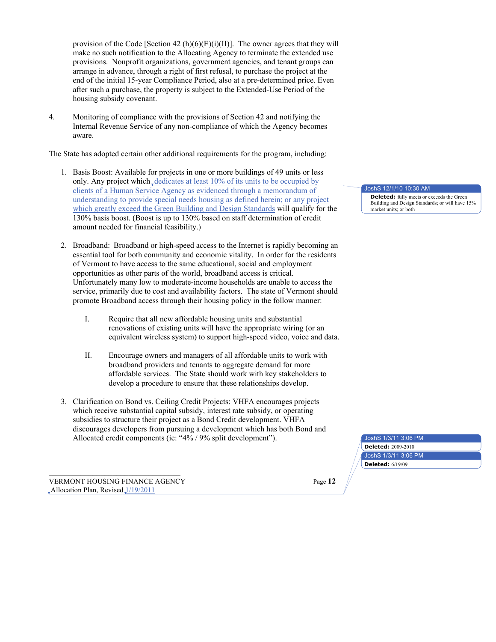provision of the Code [Section 42 (h)(6)(E)(i)(II)]. The owner agrees that they will make no such notification to the Allocating Agency to terminate the extended use provisions. Nonprofit organizations, government agencies, and tenant groups can arrange in advance, through a right of first refusal, to purchase the project at the end of the initial 15-year Compliance Period, also at a pre-determined price. Even after such a purchase, the property is subject to the Extended-Use Period of the housing subsidy covenant.

4. Monitoring of compliance with the provisions of Section 42 and notifying the Internal Revenue Service of any non-compliance of which the Agency becomes aware.

The State has adopted certain other additional requirements for the program, including:

- 1. Basis Boost: Available for projects in one or more buildings of 49 units or less only. Any project which dedicates at least  $10\%$  of its units to be occupied by clients of a Human Service Agency as evidenced through a memorandum of understanding to provide special needs housing as defined herein; or any project which greatly exceed the Green Building and Design Standards will qualify for the 130% basis boost. (Boost is up to 130% based on staff determination of credit amount needed for financial feasibility.)
- 2. Broadband: Broadband or high-speed access to the Internet is rapidly becoming an essential tool for both community and economic vitality. In order for the residents of Vermont to have access to the same educational, social and employment opportunities as other parts of the world, broadband access is critical. Unfortunately many low to moderate-income households are unable to access the service, primarily due to cost and availability factors. The state of Vermont should promote Broadband access through their housing policy in the follow manner:
	- I. Require that all new affordable housing units and substantial renovations of existing units will have the appropriate wiring (or an equivalent wireless system) to support high-speed video, voice and data.
	- II. Encourage owners and managers of all affordable units to work with broadband providers and tenants to aggregate demand for more affordable services. The State should work with key stakeholders to develop a procedure to ensure that these relationships develop.
- 3. Clarification on Bond vs. Ceiling Credit Projects: VHFA encourages projects which receive substantial capital subsidy, interest rate subsidy, or operating subsidies to structure their project as a Bond Credit development. VHFA discourages developers from pursuing a development which has both Bond and Allocated credit components (ie: "4% / 9% split development").

VERMONT HOUSING FINANCE AGENCY **Page 12** Page 12  $\Box$ Allocation Plan, Revised $\Box$ /19/2011

JoshS 12/1/10 10:30 AM

JoshS 1/3/11 3:06 PM

**Deleted:** 2009-2010

**Deleted:** 6/19/09

JoshS 1/3/11 3:06 PM

**Deleted:** fully meets or exceeds the Green Building and Design Standards; or will have 15% market units; or both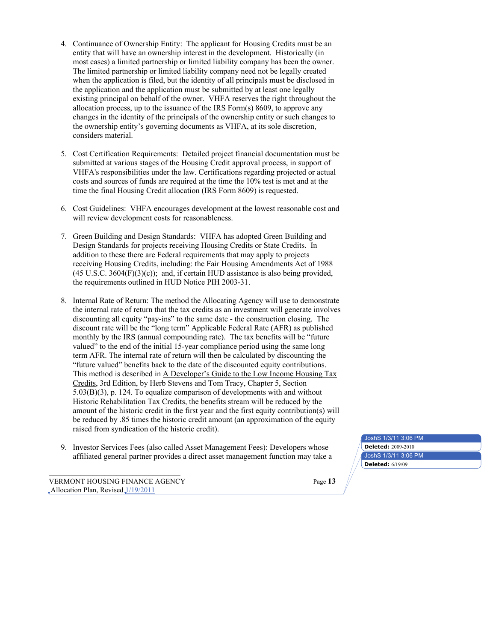- 4. Continuance of Ownership Entity: The applicant for Housing Credits must be an entity that will have an ownership interest in the development. Historically (in most cases) a limited partnership or limited liability company has been the owner. The limited partnership or limited liability company need not be legally created when the application is filed, but the identity of all principals must be disclosed in the application and the application must be submitted by at least one legally existing principal on behalf of the owner. VHFA reserves the right throughout the allocation process, up to the issuance of the IRS Form(s) 8609, to approve any changes in the identity of the principals of the ownership entity or such changes to the ownership entity's governing documents as VHFA, at its sole discretion, considers material.
- 5. Cost Certification Requirements: Detailed project financial documentation must be submitted at various stages of the Housing Credit approval process, in support of VHFA's responsibilities under the law. Certifications regarding projected or actual costs and sources of funds are required at the time the 10% test is met and at the time the final Housing Credit allocation (IRS Form 8609) is requested.
- 6. Cost Guidelines: VHFA encourages development at the lowest reasonable cost and will review development costs for reasonableness.
- 7. Green Building and Design Standards: VHFA has adopted Green Building and Design Standards for projects receiving Housing Credits or State Credits. In addition to these there are Federal requirements that may apply to projects receiving Housing Credits, including: the Fair Housing Amendments Act of 1988  $(45 \text{ U.S.C. } 3604 \text{ (F)}(3)(c))$ ; and, if certain HUD assistance is also being provided, the requirements outlined in HUD Notice PIH 2003-31.
- 8. Internal Rate of Return: The method the Allocating Agency will use to demonstrate the internal rate of return that the tax credits as an investment will generate involves discounting all equity "pay-ins" to the same date - the construction closing. The discount rate will be the "long term" Applicable Federal Rate (AFR) as published monthly by the IRS (annual compounding rate). The tax benefits will be "future valued" to the end of the initial 15-year compliance period using the same long term AFR. The internal rate of return will then be calculated by discounting the "future valued" benefits back to the date of the discounted equity contributions. This method is described in A Developer's Guide to the Low Income Housing Tax Credits, 3rd Edition, by Herb Stevens and Tom Tracy, Chapter 5, Section 5.03(B)(3), p. 124. To equalize comparison of developments with and without Historic Rehabilitation Tax Credits, the benefits stream will be reduced by the amount of the historic credit in the first year and the first equity contribution(s) will be reduced by .85 times the historic credit amount (an approximation of the equity raised from syndication of the historic credit).
- 9. Investor Services Fees (also called Asset Management Fees): Developers whose affiliated general partner provides a direct asset management function may take a

VERMONT HOUSING FINANCE AGENCY Page **13**  $\Box$ Allocation Plan, Revised $\Box$ /19/2011

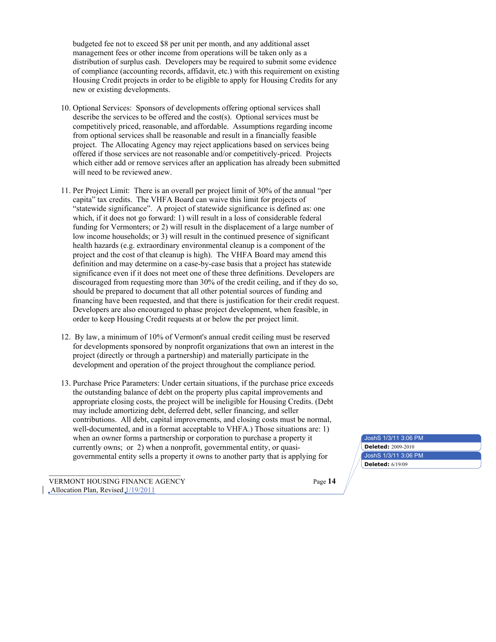budgeted fee not to exceed \$8 per unit per month, and any additional asset management fees or other income from operations will be taken only as a distribution of surplus cash. Developers may be required to submit some evidence of compliance (accounting records, affidavit, etc.) with this requirement on existing Housing Credit projects in order to be eligible to apply for Housing Credits for any new or existing developments.

- 10. Optional Services: Sponsors of developments offering optional services shall describe the services to be offered and the cost(s). Optional services must be competitively priced, reasonable, and affordable. Assumptions regarding income from optional services shall be reasonable and result in a financially feasible project. The Allocating Agency may reject applications based on services being offered if those services are not reasonable and/or competitively-priced. Projects which either add or remove services after an application has already been submitted will need to be reviewed anew.
- 11. Per Project Limit: There is an overall per project limit of 30% of the annual "per capita" tax credits. The VHFA Board can waive this limit for projects of "statewide significance". A project of statewide significance is defined as: one which, if it does not go forward: 1) will result in a loss of considerable federal funding for Vermonters; or 2) will result in the displacement of a large number of low income households; or 3) will result in the continued presence of significant health hazards (e.g. extraordinary environmental cleanup is a component of the project and the cost of that cleanup is high). The VHFA Board may amend this definition and may determine on a case-by-case basis that a project has statewide significance even if it does not meet one of these three definitions. Developers are discouraged from requesting more than 30% of the credit ceiling, and if they do so, should be prepared to document that all other potential sources of funding and financing have been requested, and that there is justification for their credit request. Developers are also encouraged to phase project development, when feasible, in order to keep Housing Credit requests at or below the per project limit.
- 12. By law, a minimum of 10% of Vermont's annual credit ceiling must be reserved for developments sponsored by nonprofit organizations that own an interest in the project (directly or through a partnership) and materially participate in the development and operation of the project throughout the compliance period.
- 13. Purchase Price Parameters: Under certain situations, if the purchase price exceeds the outstanding balance of debt on the property plus capital improvements and appropriate closing costs, the project will be ineligible for Housing Credits. (Debt may include amortizing debt, deferred debt, seller financing, and seller contributions. All debt, capital improvements, and closing costs must be normal, well-documented, and in a format acceptable to VHFA.) Those situations are: 1) when an owner forms a partnership or corporation to purchase a property it currently owns; or 2) when a nonprofit, governmental entity, or quasigovernmental entity sells a property it owns to another party that is applying for

VERMONT HOUSING FINANCE AGENCY Page **14**  $\Box$ Allocation Plan, Revised $\Box$ /19/2011

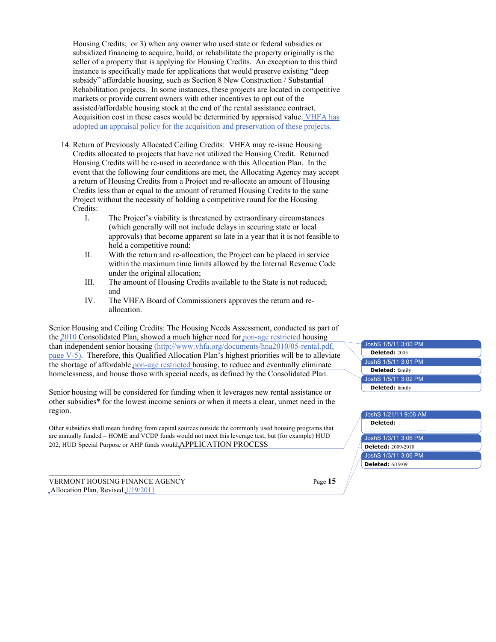Housing Credits; or 3) when any owner who used state or federal subsidies or subsidized financing to acquire, build, or rehabilitate the property originally is the seller of a property that is applying for Housing Credits. An exception to this third instance is specifically made for applications that would preserve existing "deep subsidy" affordable housing, such as Section 8 New Construction / Substantial Rehabilitation projects. In some instances, these projects are located in competitive markets or provide current owners with other incentives to opt out of the assisted/affordable housing stock at the end of the rental assistance contract. Acquisition cost in these cases would be determined by appraised value. VHFA has adopted an appraisal policy for the acquisition and preservation of these projects.

- 14. Return of Previously Allocated Ceiling Credits: VHFA may re-issue Housing Credits allocated to projects that have not utilized the Housing Credit. Returned Housing Credits will be re-used in accordance with this Allocation Plan. In the event that the following four conditions are met, the Allocating Agency may accept a return of Housing Credits from a Project and re-allocate an amount of Housing Credits less than or equal to the amount of returned Housing Credits to the same Project without the necessity of holding a competitive round for the Housing Credits:
	- I. The Project's viability is threatened by extraordinary circumstances (which generally will not include delays in securing state or local approvals) that become apparent so late in a year that it is not feasible to hold a competitive round;
	- II. With the return and re-allocation, the Project can be placed in service within the maximum time limits allowed by the Internal Revenue Code under the original allocation;
	- III. The amount of Housing Credits available to the State is not reduced; and
	- IV. The VHFA Board of Commissioners approves the return and reallocation.

Senior Housing and Ceiling Credits: The Housing Needs Assessment, conducted as part of the 2010 Consolidated Plan, showed a much higher need for non-age restricted housing than independent senior housing (http://www.vhfa.org/documents/hna2010/05-rental.pdf, page V-5). Therefore, this Qualified Allocation Plan's highest priorities will be to alleviate the shortage of affordable non-age restricted housing, to reduce and eventually eliminate homelessness, and house those with special needs, as defined by the Consolidated Plan.

Senior housing will be considered for funding when it leverages new rental assistance or other subsidies\* for the lowest income seniors or when it meets a clear, unmet need in the region.

Other subsidies shall mean funding from capital sources outside the commonly used housing programs that are annually funded – HOME and VCDP funds would not meet this leverage test, but (for example) HUD 202, HUD Special Purpose or AHP funds would.APPLICATION PROCESS

VERMONT HOUSING FINANCE AGENCY Page **15**  $\Box$ Allocation Plan, Revised $\Box$ /19/2011



# JoshS 1/3/11 3:06 PM JoshS 1/3/11 3:06 PM JoshS 1/21/11 9:08 AM **Deleted: Deleted:** 2009-2010 **Deleted:** 6/19/09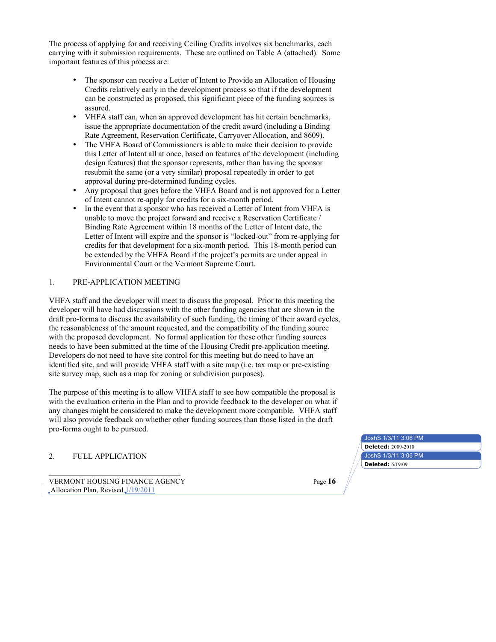The process of applying for and receiving Ceiling Credits involves six benchmarks, each carrying with it submission requirements. These are outlined on Table A (attached). Some important features of this process are:

- The sponsor can receive a Letter of Intent to Provide an Allocation of Housing Credits relatively early in the development process so that if the development can be constructed as proposed, this significant piece of the funding sources is assured.
- VHFA staff can, when an approved development has hit certain benchmarks, issue the appropriate documentation of the credit award (including a Binding Rate Agreement, Reservation Certificate, Carryover Allocation, and 8609).
- The VHFA Board of Commissioners is able to make their decision to provide this Letter of Intent all at once, based on features of the development (including design features) that the sponsor represents, rather than having the sponsor resubmit the same (or a very similar) proposal repeatedly in order to get approval during pre-determined funding cycles.
- Any proposal that goes before the VHFA Board and is not approved for a Letter of Intent cannot re-apply for credits for a six-month period.
- In the event that a sponsor who has received a Letter of Intent from VHFA is unable to move the project forward and receive a Reservation Certificate / Binding Rate Agreement within 18 months of the Letter of Intent date, the Letter of Intent will expire and the sponsor is "locked-out" from re-applying for credits for that development for a six-month period. This 18-month period can be extended by the VHFA Board if the project's permits are under appeal in Environmental Court or the Vermont Supreme Court.

### 1. PRE-APPLICATION MEETING

VHFA staff and the developer will meet to discuss the proposal. Prior to this meeting the developer will have had discussions with the other funding agencies that are shown in the draft pro-forma to discuss the availability of such funding, the timing of their award cycles, the reasonableness of the amount requested, and the compatibility of the funding source with the proposed development. No formal application for these other funding sources needs to have been submitted at the time of the Housing Credit pre-application meeting. Developers do not need to have site control for this meeting but do need to have an identified site, and will provide VHFA staff with a site map (i.e. tax map or pre-existing site survey map, such as a map for zoning or subdivision purposes).

The purpose of this meeting is to allow VHFA staff to see how compatible the proposal is with the evaluation criteria in the Plan and to provide feedback to the developer on what if any changes might be considered to make the development more compatible. VHFA staff will also provide feedback on whether other funding sources than those listed in the draft pro-forma ought to be pursued.

## 2. FULL APPLICATION

VERMONT HOUSING FINANCE AGENCY **Page 16** Page 16  $\Box$ Allocation Plan, Revised $\Box$ /19/2011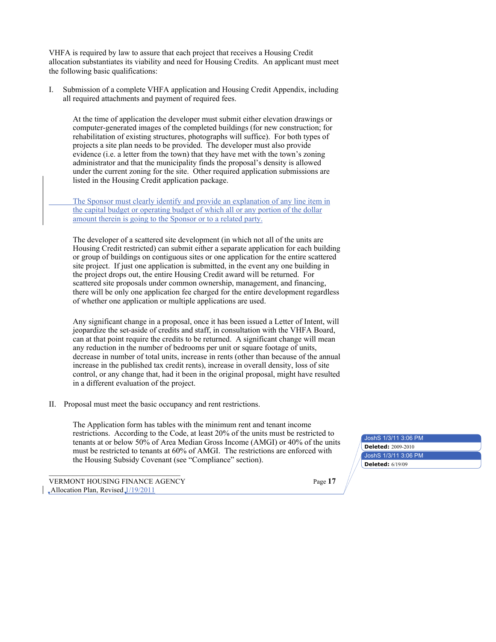VHFA is required by law to assure that each project that receives a Housing Credit allocation substantiates its viability and need for Housing Credits. An applicant must meet the following basic qualifications:

I. Submission of a complete VHFA application and Housing Credit Appendix, including all required attachments and payment of required fees.

At the time of application the developer must submit either elevation drawings or computer-generated images of the completed buildings (for new construction; for rehabilitation of existing structures, photographs will suffice). For both types of projects a site plan needs to be provided. The developer must also provide evidence (i.e. a letter from the town) that they have met with the town's zoning administrator and that the municipality finds the proposal's density is allowed under the current zoning for the site. Other required application submissions are listed in the Housing Credit application package.

The Sponsor must clearly identify and provide an explanation of any line item in the capital budget or operating budget of which all or any portion of the dollar amount therein is going to the Sponsor or to a related party.

The developer of a scattered site development (in which not all of the units are Housing Credit restricted) can submit either a separate application for each building or group of buildings on contiguous sites or one application for the entire scattered site project. If just one application is submitted, in the event any one building in the project drops out, the entire Housing Credit award will be returned. For scattered site proposals under common ownership, management, and financing, there will be only one application fee charged for the entire development regardless of whether one application or multiple applications are used.

Any significant change in a proposal, once it has been issued a Letter of Intent, will jeopardize the set-aside of credits and staff, in consultation with the VHFA Board, can at that point require the credits to be returned. A significant change will mean any reduction in the number of bedrooms per unit or square footage of units, decrease in number of total units, increase in rents (other than because of the annual increase in the published tax credit rents), increase in overall density, loss of site control, or any change that, had it been in the original proposal, might have resulted in a different evaluation of the project.

II. Proposal must meet the basic occupancy and rent restrictions.

The Application form has tables with the minimum rent and tenant income restrictions. According to the Code, at least 20% of the units must be restricted to tenants at or below 50% of Area Median Gross Income (AMGI) or 40% of the units must be restricted to tenants at 60% of AMGI. The restrictions are enforced with the Housing Subsidy Covenant (see "Compliance" section).

VERMONT HOUSING FINANCE AGENCY Page **17**  $\Box$ Allocation Plan, Revised $\Box$ /19/2011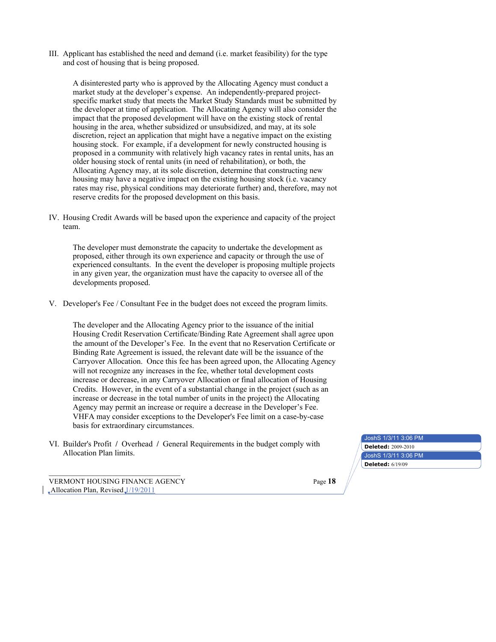III. Applicant has established the need and demand (i.e. market feasibility) for the type and cost of housing that is being proposed.

A disinterested party who is approved by the Allocating Agency must conduct a market study at the developer's expense. An independently-prepared projectspecific market study that meets the Market Study Standards must be submitted by the developer at time of application. The Allocating Agency will also consider the impact that the proposed development will have on the existing stock of rental housing in the area, whether subsidized or unsubsidized, and may, at its sole discretion, reject an application that might have a negative impact on the existing housing stock. For example, if a development for newly constructed housing is proposed in a community with relatively high vacancy rates in rental units, has an older housing stock of rental units (in need of rehabilitation), or both, the Allocating Agency may, at its sole discretion, determine that constructing new housing may have a negative impact on the existing housing stock (i.e. vacancy rates may rise, physical conditions may deteriorate further) and, therefore, may not reserve credits for the proposed development on this basis.

IV. Housing Credit Awards will be based upon the experience and capacity of the project team.

The developer must demonstrate the capacity to undertake the development as proposed, either through its own experience and capacity or through the use of experienced consultants. In the event the developer is proposing multiple projects in any given year, the organization must have the capacity to oversee all of the developments proposed.

V. Developer's Fee / Consultant Fee in the budget does not exceed the program limits.

The developer and the Allocating Agency prior to the issuance of the initial Housing Credit Reservation Certificate/Binding Rate Agreement shall agree upon the amount of the Developer's Fee. In the event that no Reservation Certificate or Binding Rate Agreement is issued, the relevant date will be the issuance of the Carryover Allocation. Once this fee has been agreed upon, the Allocating Agency will not recognize any increases in the fee, whether total development costs increase or decrease, in any Carryover Allocation or final allocation of Housing Credits. However, in the event of a substantial change in the project (such as an increase or decrease in the total number of units in the project) the Allocating Agency may permit an increase or require a decrease in the Developer's Fee. VHFA may consider exceptions to the Developer's Fee limit on a case-by-case basis for extraordinary circumstances.

VI. Builder's Profit **/** Overhead **/** General Requirements in the budget comply with Allocation Plan limits.

VERMONT HOUSING FINANCE AGENCY Page **18**  $\Box$ Allocation Plan, Revised  $\Box$ /19/2011

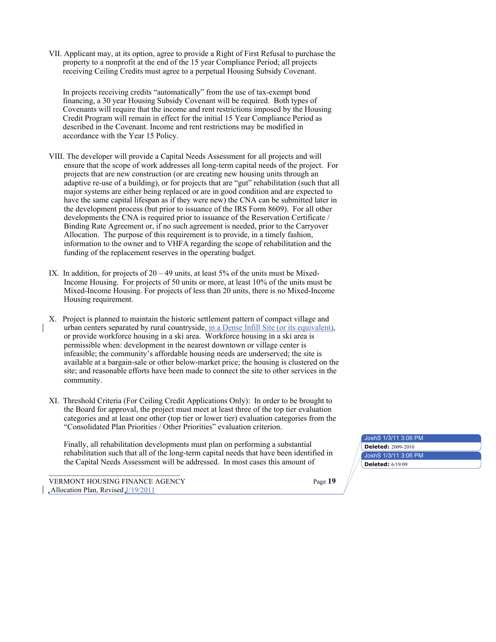VII. Applicant may, at its option, agree to provide a Right of First Refusal to purchase the property to a nonprofit at the end of the 15 year Compliance Period; all projects receiving Ceiling Credits must agree to a perpetual Housing Subsidy Covenant.

In projects receiving credits "automatically" from the use of tax-exempt bond financing, a 30 year Housing Subsidy Covenant will be required. Both types of Covenants will require that the income and rent restrictions imposed by the Housing Credit Program will remain in effect for the initial 15 Year Compliance Period as described in the Covenant. Income and rent restrictions may be modified in accordance with the Year 15 Policy.

- VIII. The developer will provide a Capital Needs Assessment for all projects and will ensure that the scope of work addresses all long-term capital needs of the project. For projects that are new construction (or are creating new housing units through an adaptive re-use of a building), or for projects that are "gut" rehabilitation (such that all major systems are either being replaced or are in good condition and are expected to have the same capital lifespan as if they were new) the CNA can be submitted later in the development process (but prior to issuance of the IRS Form 8609). For all other developments the CNA is required prior to issuance of the Reservation Certificate / Binding Rate Agreement or, if no such agreement is needed, prior to the Carryover Allocation. The purpose of this requirement is to provide, in a timely fashion, information to the owner and to VHFA regarding the scope of rehabilitation and the funding of the replacement reserves in the operating budget.
- IX. In addition, for projects of  $20 49$  units, at least 5% of the units must be Mixed-Income Housing. For projects of 50 units or more, at least 10% of the units must be Mixed-Income Housing. For projects of less than 20 units, there is no Mixed-Income Housing requirement.
- X. Project is planned to maintain the historic settlement pattern of compact village and urban centers separated by rural countryside, in a Dense Infill Site (or its equivalent), or provide workforce housing in a ski area. Workforce housing in a ski area is permissible when: development in the nearest downtown or village center is infeasible; the community's affordable housing needs are underserved; the site is available at a bargain-sale or other below-market price; the housing is clustered on the site; and reasonable efforts have been made to connect the site to other services in the community.
- XI. Threshold Criteria (For Ceiling Credit Applications Only): In order to be brought to the Board for approval, the project must meet at least three of the top tier evaluation categories and at least one other (top tier or lower tier) evaluation categories from the "Consolidated Plan Priorities / Other Priorities" evaluation criterion.

Finally, all rehabilitation developments must plan on performing a substantial rehabilitation such that all of the long-term capital needs that have been identified in the Capital Needs Assessment will be addressed. In most cases this amount of

VERMONT HOUSING FINANCE AGENCY **Page 19** Page 19  $\Box$ Allocation Plan, Revised  $\Box$ /19/2011

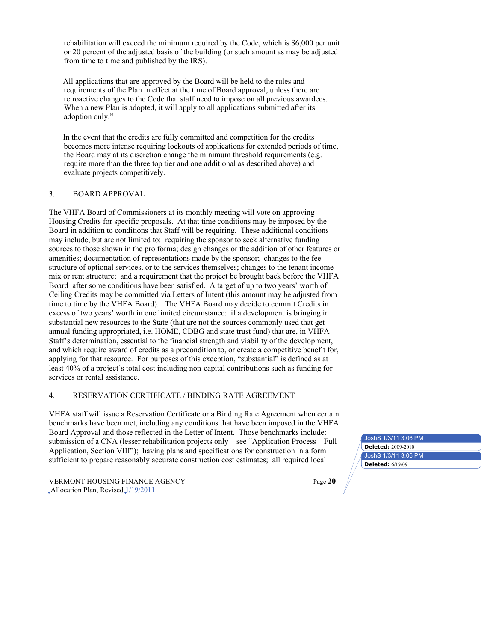rehabilitation will exceed the minimum required by the Code, which is \$6,000 per unit or 20 percent of the adjusted basis of the building (or such amount as may be adjusted from time to time and published by the IRS).

All applications that are approved by the Board will be held to the rules and requirements of the Plan in effect at the time of Board approval, unless there are retroactive changes to the Code that staff need to impose on all previous awardees. When a new Plan is adopted, it will apply to all applications submitted after its adoption only."

In the event that the credits are fully committed and competition for the credits becomes more intense requiring lockouts of applications for extended periods of time, the Board may at its discretion change the minimum threshold requirements (e.g. require more than the three top tier and one additional as described above) and evaluate projects competitively.

### 3. BOARD APPROVAL

The VHFA Board of Commissioners at its monthly meeting will vote on approving Housing Credits for specific proposals. At that time conditions may be imposed by the Board in addition to conditions that Staff will be requiring. These additional conditions may include, but are not limited to: requiring the sponsor to seek alternative funding sources to those shown in the pro forma; design changes or the addition of other features or amenities; documentation of representations made by the sponsor; changes to the fee structure of optional services, or to the services themselves; changes to the tenant income mix or rent structure; and a requirement that the project be brought back before the VHFA Board after some conditions have been satisfied. A target of up to two years' worth of Ceiling Credits may be committed via Letters of Intent (this amount may be adjusted from time to time by the VHFA Board). The VHFA Board may decide to commit Credits in excess of two years' worth in one limited circumstance: if a development is bringing in substantial new resources to the State (that are not the sources commonly used that get annual funding appropriated, i.e. HOME, CDBG and state trust fund) that are, in VHFA Staff's determination, essential to the financial strength and viability of the development, and which require award of credits as a precondition to, or create a competitive benefit for, applying for that resource. For purposes of this exception, "substantial" is defined as at least 40% of a project's total cost including non-capital contributions such as funding for services or rental assistance.

### 4. RESERVATION CERTIFICATE / BINDING RATE AGREEMENT

VHFA staff will issue a Reservation Certificate or a Binding Rate Agreement when certain benchmarks have been met, including any conditions that have been imposed in the VHFA Board Approval and those reflected in the Letter of Intent. Those benchmarks include: submission of a CNA (lesser rehabilitation projects only – see "Application Process – Full Application, Section VIII"); having plans and specifications for construction in a form sufficient to prepare reasonably accurate construction cost estimates; all required local

VERMONT HOUSING FINANCE AGENCY Page **20**  $\Box$ Allocation Plan, Revised $\Box$ /19/2011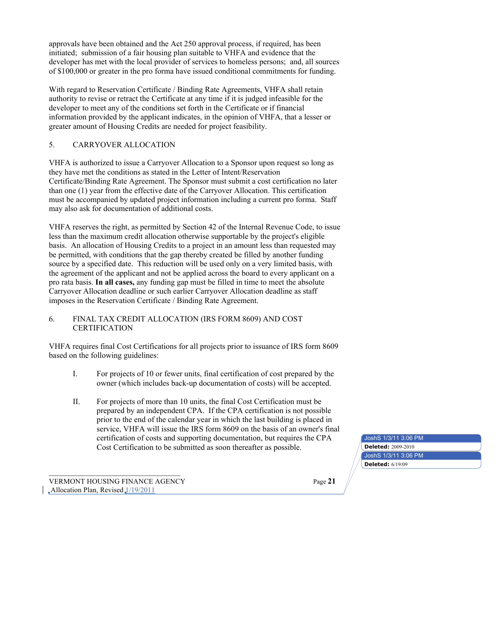approvals have been obtained and the Act 250 approval process, if required, has been initiated; submission of a fair housing plan suitable to VHFA and evidence that the developer has met with the local provider of services to homeless persons; and, all sources of \$100,000 or greater in the pro forma have issued conditional commitments for funding.

With regard to Reservation Certificate / Binding Rate Agreements, VHFA shall retain authority to revise or retract the Certificate at any time if it is judged infeasible for the developer to meet any of the conditions set forth in the Certificate or if financial information provided by the applicant indicates, in the opinion of VHFA, that a lesser or greater amount of Housing Credits are needed for project feasibility.

### 5. CARRYOVER ALLOCATION

VHFA is authorized to issue a Carryover Allocation to a Sponsor upon request so long as they have met the conditions as stated in the Letter of Intent/Reservation Certificate/Binding Rate Agreement. The Sponsor must submit a cost certification no later than one (1) year from the effective date of the Carryover Allocation. This certification must be accompanied by updated project information including a current pro forma. Staff may also ask for documentation of additional costs.

VHFA reserves the right, as permitted by Section 42 of the Internal Revenue Code, to issue less than the maximum credit allocation otherwise supportable by the project's eligible basis. An allocation of Housing Credits to a project in an amount less than requested may be permitted, with conditions that the gap thereby created be filled by another funding source by a specified date. This reduction will be used only on a very limited basis, with the agreement of the applicant and not be applied across the board to every applicant on a pro rata basis. **In all cases,** any funding gap must be filled in time to meet the absolute Carryover Allocation deadline or such earlier Carryover Allocation deadline as staff imposes in the Reservation Certificate / Binding Rate Agreement.

### 6. FINAL TAX CREDIT ALLOCATION (IRS FORM 8609) AND COST CERTIFICATION

VHFA requires final Cost Certifications for all projects prior to issuance of IRS form 8609 based on the following guidelines:

- I. For projects of 10 or fewer units, final certification of cost prepared by the owner (which includes back-up documentation of costs) will be accepted.
- II. For projects of more than 10 units, the final Cost Certification must be prepared by an independent CPA. If the CPA certification is not possible prior to the end of the calendar year in which the last building is placed in service, VHFA will issue the IRS form 8609 on the basis of an owner's final certification of costs and supporting documentation, but requires the CPA Cost Certification to be submitted as soon thereafter as possible. **Deleted:**  $2009-2010$

VERMONT HOUSING FINANCE AGENCY Page **21**  $\Box$ Allocation Plan, Revised $\Box$ /19/2011

JoshS 1/3/11 3:06 PM JoshS 1/3/11 3:06 PM **Deleted:** 6/19/09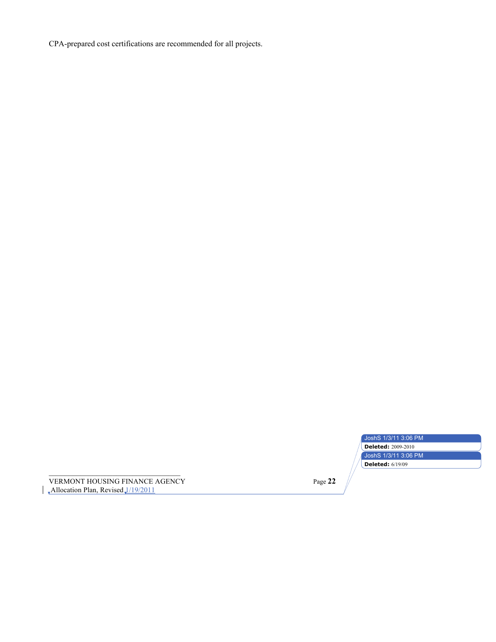CPA-prepared cost certifications are recommended for all projects.

| JoshS 1/3/11 3:06 PM      |
|---------------------------|
| <b>Deleted: 2009-2010</b> |
| JoshS 1/3/11 3:06 PM      |
| <b>Deleted: 6/19/09</b>   |

VERMONT HOUSING FINANCE AGENCY Page **22** Allocation Plan, Revised 1/19/2011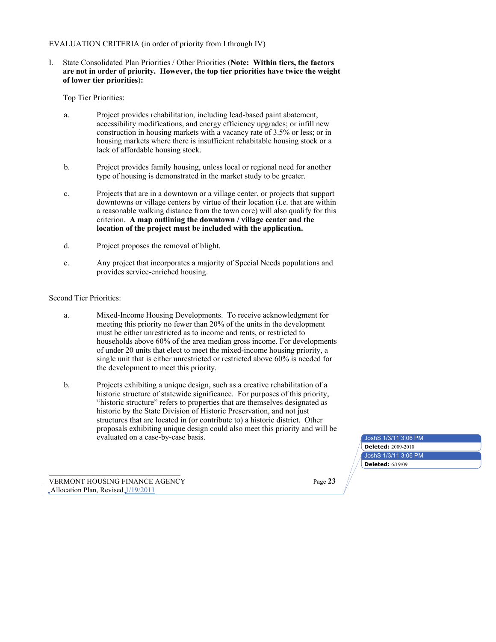### EVALUATION CRITERIA (in order of priority from I through IV)

I. State Consolidated Plan Priorities / Other Priorities (**Note: Within tiers, the factors are not in order of priority. However, the top tier priorities have twice the weight of lower tier priorities**)**:**

Top Tier Priorities:

- a. Project provides rehabilitation, including lead-based paint abatement, accessibility modifications, and energy efficiency upgrades; or infill new construction in housing markets with a vacancy rate of 3.5% or less; or in housing markets where there is insufficient rehabitable housing stock or a lack of affordable housing stock.
- b. Project provides family housing, unless local or regional need for another type of housing is demonstrated in the market study to be greater.
- c. Projects that are in a downtown or a village center, or projects that support downtowns or village centers by virtue of their location (i.e. that are within a reasonable walking distance from the town core) will also qualify for this criterion. **A map outlining the downtown / village center and the location of the project must be included with the application.**
- d. Project proposes the removal of blight.
- e. Any project that incorporates a majority of Special Needs populations and provides service-enriched housing.

### Second Tier Priorities:

- a. Mixed-Income Housing Developments. To receive acknowledgment for meeting this priority no fewer than 20% of the units in the development must be either unrestricted as to income and rents, or restricted to households above 60% of the area median gross income. For developments of under 20 units that elect to meet the mixed-income housing priority, a single unit that is either unrestricted or restricted above 60% is needed for the development to meet this priority.
- b. Projects exhibiting a unique design, such as a creative rehabilitation of a historic structure of statewide significance. For purposes of this priority, "historic structure" refers to properties that are themselves designated as historic by the State Division of Historic Preservation, and not just structures that are located in (or contribute to) a historic district. Other proposals exhibiting unique design could also meet this priority and will be evaluated on a case-by-case basis.

VERMONT HOUSING FINANCE AGENCY Page **23**  $\Box$ Allocation Plan, Revised $\Box$ /19/2011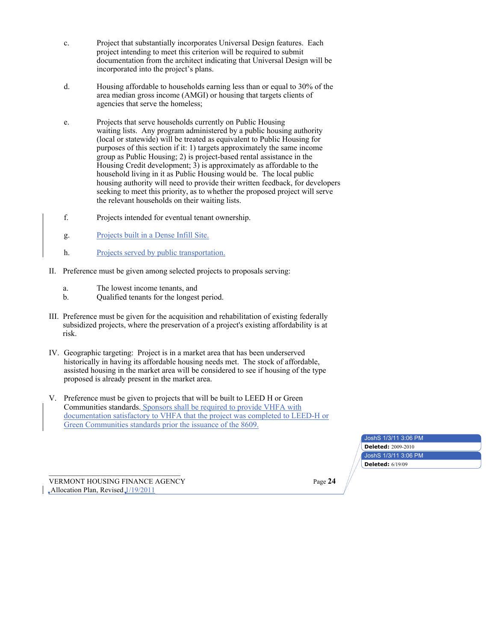- c. Project that substantially incorporates Universal Design features. Each project intending to meet this criterion will be required to submit documentation from the architect indicating that Universal Design will be incorporated into the project's plans.
- d. Housing affordable to households earning less than or equal to 30% of the area median gross income (AMGI) or housing that targets clients of agencies that serve the homeless;
- e. Projects that serve households currently on Public Housing waiting lists. Any program administered by a public housing authority (local or statewide) will be treated as equivalent to Public Housing for purposes of this section if it: 1) targets approximately the same income group as Public Housing; 2) is project-based rental assistance in the Housing Credit development; 3) is approximately as affordable to the household living in it as Public Housing would be. The local public housing authority will need to provide their written feedback, for developers seeking to meet this priority, as to whether the proposed project will serve the relevant households on their waiting lists.
- f. Projects intended for eventual tenant ownership.
- g. Projects built in a Dense Infill Site.
- h. Projects served by public transportation.
- II. Preference must be given among selected projects to proposals serving:
	- a. The lowest income tenants, and
	- b. Qualified tenants for the longest period.
- III. Preference must be given for the acquisition and rehabilitation of existing federally subsidized projects, where the preservation of a project's existing affordability is at risk.
- IV. Geographic targeting: Project is in a market area that has been underserved historically in having its affordable housing needs met. The stock of affordable, assisted housing in the market area will be considered to see if housing of the type proposed is already present in the market area.
- V. Preference must be given to projects that will be built to LEED H or Green Communities standards. Sponsors shall be required to provide VHFA with documentation satisfactory to VHFA that the project was completed to LEED-H or Green Communities standards prior the issuance of the 8609.

| JoshS 1/3/11 3:06 PM      |
|---------------------------|
| <b>Deleted: 2009-2010</b> |
| JoshS 1/3/11 3:06 PM      |
| <b>Deleted: 6/19/09</b>   |

VERMONT HOUSING FINANCE AGENCY Page **24**  $\Box$ Allocation Plan, Revised $\Box$ /19/2011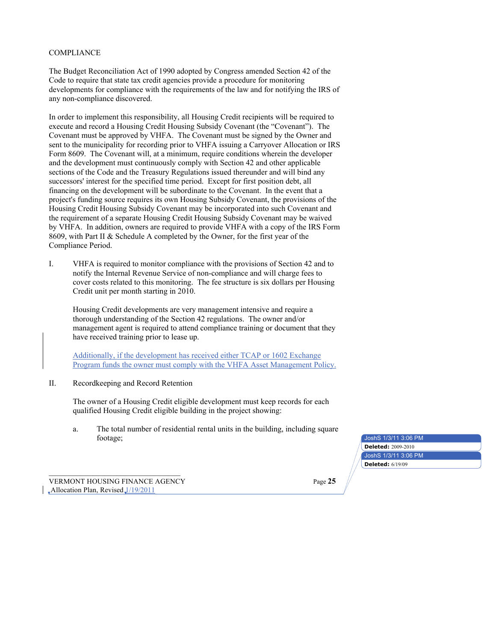### COMPLIANCE

The Budget Reconciliation Act of 1990 adopted by Congress amended Section 42 of the Code to require that state tax credit agencies provide a procedure for monitoring developments for compliance with the requirements of the law and for notifying the IRS of any non-compliance discovered.

In order to implement this responsibility, all Housing Credit recipients will be required to execute and record a Housing Credit Housing Subsidy Covenant (the "Covenant"). The Covenant must be approved by VHFA. The Covenant must be signed by the Owner and sent to the municipality for recording prior to VHFA issuing a Carryover Allocation or IRS Form 8609. The Covenant will, at a minimum, require conditions wherein the developer and the development must continuously comply with Section 42 and other applicable sections of the Code and the Treasury Regulations issued thereunder and will bind any successors' interest for the specified time period. Except for first position debt, all financing on the development will be subordinate to the Covenant. In the event that a project's funding source requires its own Housing Subsidy Covenant, the provisions of the Housing Credit Housing Subsidy Covenant may be incorporated into such Covenant and the requirement of a separate Housing Credit Housing Subsidy Covenant may be waived by VHFA. In addition, owners are required to provide VHFA with a copy of the IRS Form 8609, with Part II & Schedule A completed by the Owner, for the first year of the Compliance Period.

I. VHFA is required to monitor compliance with the provisions of Section 42 and to notify the Internal Revenue Service of non-compliance and will charge fees to cover costs related to this monitoring. The fee structure is six dollars per Housing Credit unit per month starting in 2010.

Housing Credit developments are very management intensive and require a thorough understanding of the Section 42 regulations. The owner and/or management agent is required to attend compliance training or document that they have received training prior to lease up.

Additionally, if the development has received either TCAP or 1602 Exchange Program funds the owner must comply with the VHFA Asset Management Policy.

### II. Recordkeeping and Record Retention

The owner of a Housing Credit eligible development must keep records for each qualified Housing Credit eligible building in the project showing:

a. The total number of residential rental units in the building, including square footage;

JoshS 1/3/11 3:06 PM JoshS 1/3/11 3:06 PM **Deleted:** 2009-2010 **Deleted:** 6/19/09

VERMONT HOUSING FINANCE AGENCY Page **25**  $\Box$ Allocation Plan, Revised $\Box$ /19/2011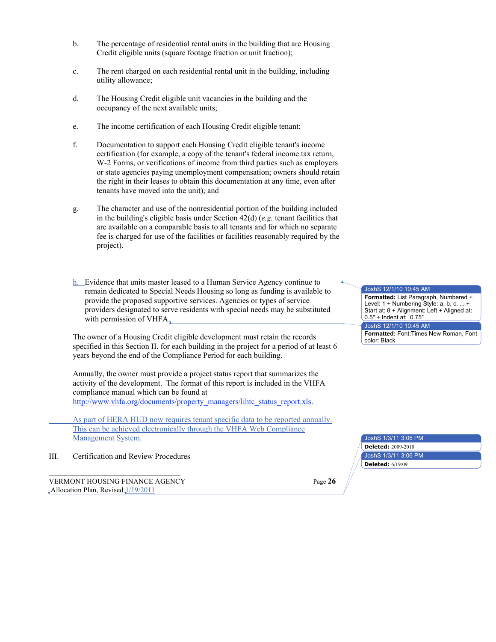- b. The percentage of residential rental units in the building that are Housing Credit eligible units (square footage fraction or unit fraction);
- c. The rent charged on each residential rental unit in the building, including utility allowance;
- d. The Housing Credit eligible unit vacancies in the building and the occupancy of the next available units;
- e. The income certification of each Housing Credit eligible tenant;
- f. Documentation to support each Housing Credit eligible tenant's income certification (for example, a copy of the tenant's federal income tax return, W-2 Forms, or verifications of income from third parties such as employers or state agencies paying unemployment compensation; owners should retain the right in their leases to obtain this documentation at any time, even after tenants have moved into the unit); and
- g. The character and use of the nonresidential portion of the building included in the building's eligible basis under Section 42(d) (*e.g.* tenant facilities that are available on a comparable basis to all tenants and for which no separate fee is charged for use of the facilities or facilities reasonably required by the project).
- h. Evidence that units master leased to a Human Service Agency continue to remain dedicated to Special Needs Housing so long as funding is available to provide the proposed supportive services. Agencies or types of service providers designated to serve residents with special needs may be substituted with permission of VHFA.

The owner of a Housing Credit eligible development must retain the records specified in this Section II. for each building in the project for a period of at least 6 years beyond the end of the Compliance Period for each building.

Annually, the owner must provide a project status report that summarizes the activity of the development. The format of this report is included in the VHFA compliance manual which can be found at http://www.vhfa.org/documents/property\_managers/lihtc\_status\_report.xls.

As part of HERA HUD now requires tenant specific data to be reported annually.

This can be achieved electronically through the VHFA Web Compliance Management System.

III. Certification and Review Procedures

VERMONT HOUSING FINANCE AGENCY **Page 26**  $\Box$ Allocation Plan, Revised $\Box$ /19/2011

JoshS 12/1/10 10:45 AM **Formatted:** List Paragraph, Numbered + Level: 1 + Numbering Style: a, b, c, ... + Start at: 8 + Alignment: Left + Aligned at: 0.5" + Indent at: 0.75" JoshS 12/1/10 10:45 AM **Formatted:** Font:Times New Roman, Font

color: Black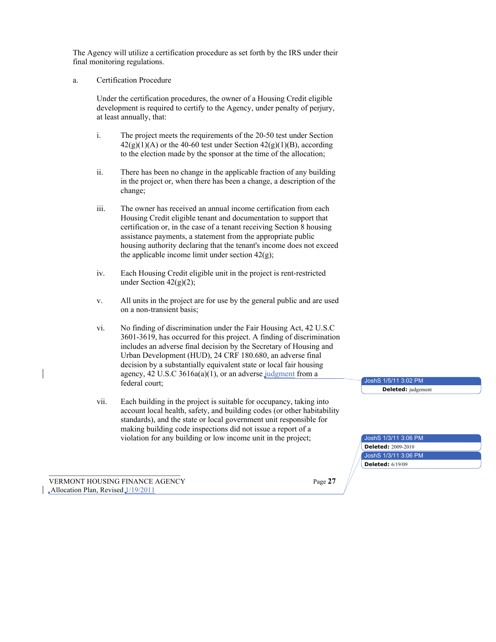The Agency will utilize a certification procedure as set forth by the IRS under their final monitoring regulations.

### a. Certification Procedure

Under the certification procedures, the owner of a Housing Credit eligible development is required to certify to the Agency, under penalty of perjury, at least annually, that:

- i. The project meets the requirements of the 20-50 test under Section  $42(g)(1)(A)$  or the 40-60 test under Section  $42(g)(1)(B)$ , according to the election made by the sponsor at the time of the allocation;
- ii. There has been no change in the applicable fraction of any building in the project or, when there has been a change, a description of the change;
- iii. The owner has received an annual income certification from each Housing Credit eligible tenant and documentation to support that certification or, in the case of a tenant receiving Section 8 housing assistance payments, a statement from the appropriate public housing authority declaring that the tenant's income does not exceed the applicable income limit under section  $42(g)$ ;
- iv. Each Housing Credit eligible unit in the project is rent-restricted under Section  $42(g)(2)$ ;
- v. All units in the project are for use by the general public and are used on a non-transient basis;
- vi. No finding of discrimination under the Fair Housing Act, 42 U.S.C 3601-3619, has occurred for this project. A finding of discrimination includes an adverse final decision by the Secretary of Housing and Urban Development (HUD), 24 CRF 180.680, an adverse final decision by a substantially equivalent state or local fair housing agency,  $42 \text{ U.S.C } 3616a(a)(1)$ , or an adverse judgment from a federal court;
- vii. Each building in the project is suitable for occupancy, taking into account local health, safety, and building codes (or other habitability standards), and the state or local government unit responsible for making building code inspections did not issue a report of a violation for any building or low income unit in the project;

VERMONT HOUSING FINANCE AGENCY Page **27**  $\Box$ Allocation Plan, Revised $\Box$ /19/2011

JoshS 1/5/11 3:02 PM **Deleted:** judgement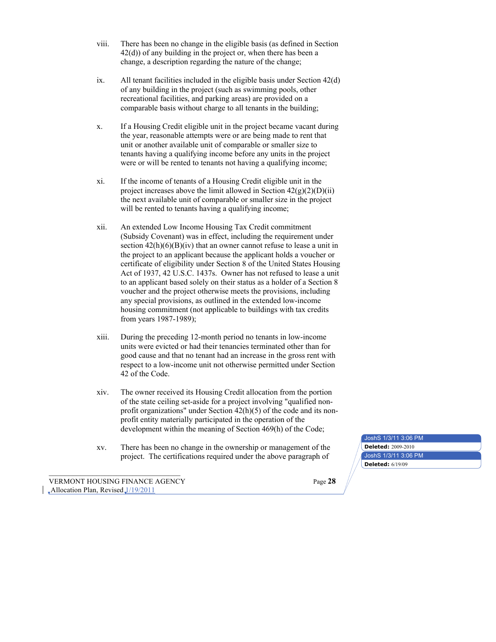- viii. There has been no change in the eligible basis (as defined in Section 42(d)) of any building in the project or, when there has been a change, a description regarding the nature of the change;
- ix. All tenant facilities included in the eligible basis under Section 42(d) of any building in the project (such as swimming pools, other recreational facilities, and parking areas) are provided on a comparable basis without charge to all tenants in the building;
- x. If a Housing Credit eligible unit in the project became vacant during the year, reasonable attempts were or are being made to rent that unit or another available unit of comparable or smaller size to tenants having a qualifying income before any units in the project were or will be rented to tenants not having a qualifying income;
- xi. If the income of tenants of a Housing Credit eligible unit in the project increases above the limit allowed in Section  $42(g)(2)(D)(ii)$ the next available unit of comparable or smaller size in the project will be rented to tenants having a qualifying income;
- xii. An extended Low Income Housing Tax Credit commitment (Subsidy Covenant) was in effect, including the requirement under section  $42(h)(6)(B)(iv)$  that an owner cannot refuse to lease a unit in the project to an applicant because the applicant holds a voucher or certificate of eligibility under Section 8 of the United States Housing Act of 1937, 42 U.S.C. 1437s. Owner has not refused to lease a unit to an applicant based solely on their status as a holder of a Section 8 voucher and the project otherwise meets the provisions, including any special provisions, as outlined in the extended low-income housing commitment (not applicable to buildings with tax credits from years 1987-1989);
- xiii. During the preceding 12-month period no tenants in low-income units were evicted or had their tenancies terminated other than for good cause and that no tenant had an increase in the gross rent with respect to a low-income unit not otherwise permitted under Section 42 of the Code.
- xiv. The owner received its Housing Credit allocation from the portion of the state ceiling set-aside for a project involving "qualified nonprofit organizations" under Section 42(h)(5) of the code and its nonprofit entity materially participated in the operation of the development within the meaning of Section 469(h) of the Code;
- xv. There has been no change in the ownership or management of the project. The certifications required under the above paragraph of

VERMONT HOUSING FINANCE AGENCY Page **28**  $\Box$ Allocation Plan, Revised $\Box$ /19/2011

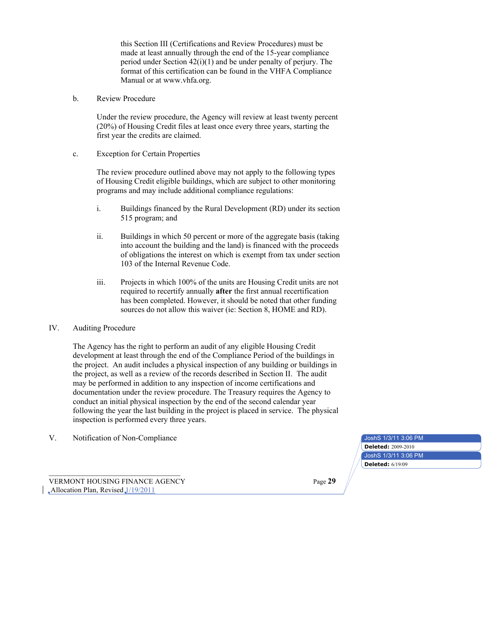this Section III (Certifications and Review Procedures) must be made at least annually through the end of the 15-year compliance period under Section  $42(i)(1)$  and be under penalty of perjury. The format of this certification can be found in the VHFA Compliance Manual or at www.vhfa.org.

b. Review Procedure

Under the review procedure, the Agency will review at least twenty percent (20%) of Housing Credit files at least once every three years, starting the first year the credits are claimed.

c. Exception for Certain Properties

The review procedure outlined above may not apply to the following types of Housing Credit eligible buildings, which are subject to other monitoring programs and may include additional compliance regulations:

- i. Buildings financed by the Rural Development (RD) under its section 515 program; and
- ii. Buildings in which 50 percent or more of the aggregate basis (taking into account the building and the land) is financed with the proceeds of obligations the interest on which is exempt from tax under section 103 of the Internal Revenue Code.
- iii. Projects in which 100% of the units are Housing Credit units are not required to recertify annually **after** the first annual recertification has been completed. However, it should be noted that other funding sources do not allow this waiver (ie: Section 8, HOME and RD).

### IV. Auditing Procedure

The Agency has the right to perform an audit of any eligible Housing Credit development at least through the end of the Compliance Period of the buildings in the project. An audit includes a physical inspection of any building or buildings in the project, as well as a review of the records described in Section II. The audit may be performed in addition to any inspection of income certifications and documentation under the review procedure. The Treasury requires the Agency to conduct an initial physical inspection by the end of the second calendar year following the year the last building in the project is placed in service. The physical inspection is performed every three years.

V. Notification of Non-Compliance

VERMONT HOUSING FINANCE AGENCY Page **29**  $\Box$ Allocation Plan, Revised $\Box$ /19/2011

| JoshS 1/3/11 3:06 PM      |  |
|---------------------------|--|
| <b>Deleted: 2009-2010</b> |  |
| JoshS 1/3/11 3:06 PM      |  |
| <b>Deleted:</b> 6/19/09   |  |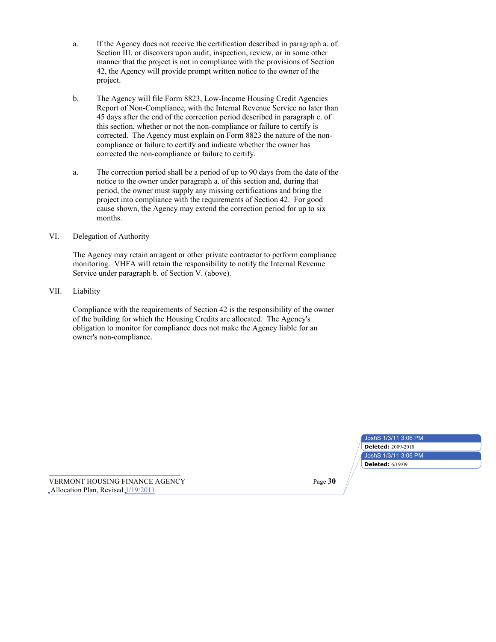- a. If the Agency does not receive the certification described in paragraph a. of Section III. or discovers upon audit, inspection, review, or in some other manner that the project is not in compliance with the provisions of Section 42, the Agency will provide prompt written notice to the owner of the project.
- b. The Agency will file Form 8823, Low-Income Housing Credit Agencies Report of Non-Compliance, with the Internal Revenue Service no later than 45 days after the end of the correction period described in paragraph c. of this section, whether or not the non-compliance or failure to certify is corrected. The Agency must explain on Form 8823 the nature of the noncompliance or failure to certify and indicate whether the owner has corrected the non-compliance or failure to certify.
- a. The correction period shall be a period of up to 90 days from the date of the notice to the owner under paragraph a. of this section and, during that period, the owner must supply any missing certifications and bring the project into compliance with the requirements of Section 42. For good cause shown, the Agency may extend the correction period for up to six months.
- VI. Delegation of Authority

The Agency may retain an agent or other private contractor to perform compliance monitoring. VHFA will retain the responsibility to notify the Internal Revenue Service under paragraph b. of Section V. (above).

VII. Liability

Compliance with the requirements of Section 42 is the responsibility of the owner of the building for which the Housing Credits are allocated. The Agency's obligation to monitor for compliance does not make the Agency liable for an owner's non-compliance.

| JoshS 1/3/11 3:06 PM      |  |
|---------------------------|--|
| <b>Deleted: 2009-2010</b> |  |
| JoshS 1/3/11 3:06 PM      |  |
| <b>Deleted: 6/19/09</b>   |  |

VERMONT HOUSING FINANCE AGENCY Page **30**  $\Box$ Allocation Plan, Revised $\Box$ /19/2011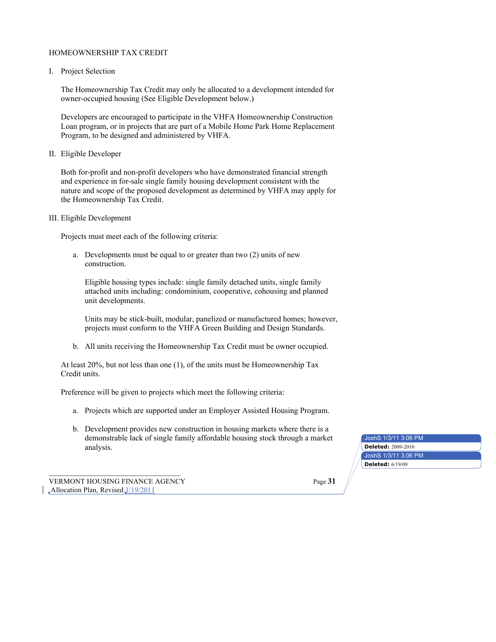### HOMEOWNERSHIP TAX CREDIT

I. Project Selection

The Homeownership Tax Credit may only be allocated to a development intended for owner-occupied housing (See Eligible Development below.)

Developers are encouraged to participate in the VHFA Homeownership Construction Loan program, or in projects that are part of a Mobile Home Park Home Replacement Program, to be designed and administered by VHFA.

II. Eligible Developer

Both for-profit and non-profit developers who have demonstrated financial strength and experience in for-sale single family housing development consistent with the nature and scope of the proposed development as determined by VHFA may apply for the Homeownership Tax Credit.

III. Eligible Development

Projects must meet each of the following criteria:

a. Developments must be equal to or greater than two (2) units of new construction.

Eligible housing types include: single family detached units, single family attached units including: condominium, cooperative, cohousing and planned unit developments.

Units may be stick-built, modular, panelized or manufactured homes; however, projects must conform to the VHFA Green Building and Design Standards.

b. All units receiving the Homeownership Tax Credit must be owner occupied.

At least 20%, but not less than one (1), of the units must be Homeownership Tax Credit units.

Preference will be given to projects which meet the following criteria:

- a. Projects which are supported under an Employer Assisted Housing Program.
- b. Development provides new construction in housing markets where there is a demonstrable lack of single family affordable housing stock through a market analysis. **Deleted:** 2009-2010

JoshS 1/3/11 3:06 PM JoshS 1/3/11 3:06 PM **Deleted:** 6/19/09

VERMONT HOUSING FINANCE AGENCY Page **31**  $\Box$ Allocation Plan, Revised $\Box$ /19/2011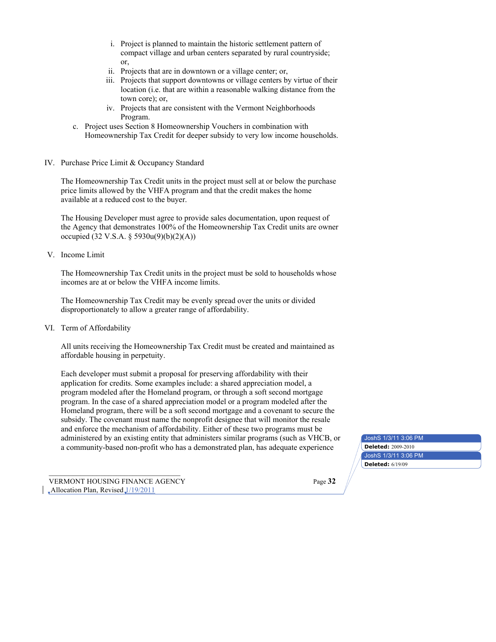- i. Project is planned to maintain the historic settlement pattern of compact village and urban centers separated by rural countryside; or,
- ii. Projects that are in downtown or a village center; or,
- iii. Projects that support downtowns or village centers by virtue of their location (i.e. that are within a reasonable walking distance from the town core); or,
- iv. Projects that are consistent with the Vermont Neighborhoods Program.
- c. Project uses Section 8 Homeownership Vouchers in combination with Homeownership Tax Credit for deeper subsidy to very low income households.
- IV. Purchase Price Limit & Occupancy Standard

The Homeownership Tax Credit units in the project must sell at or below the purchase price limits allowed by the VHFA program and that the credit makes the home available at a reduced cost to the buyer.

The Housing Developer must agree to provide sales documentation, upon request of the Agency that demonstrates 100% of the Homeownership Tax Credit units are owner occupied (32 V.S.A. § 5930u(9)(b)(2)(A))

V. Income Limit

The Homeownership Tax Credit units in the project must be sold to households whose incomes are at or below the VHFA income limits.

The Homeownership Tax Credit may be evenly spread over the units or divided disproportionately to allow a greater range of affordability.

VI. Term of Affordability

All units receiving the Homeownership Tax Credit must be created and maintained as affordable housing in perpetuity.

Each developer must submit a proposal for preserving affordability with their application for credits. Some examples include: a shared appreciation model, a program modeled after the Homeland program, or through a soft second mortgage program. In the case of a shared appreciation model or a program modeled after the Homeland program, there will be a soft second mortgage and a covenant to secure the subsidy. The covenant must name the nonprofit designee that will monitor the resale and enforce the mechanism of affordability. Either of these two programs must be administered by an existing entity that administers similar programs (such as VHCB, or a community-based non-profit who has a demonstrated plan, has adequate experience **Deleted:** 2009-2010

VERMONT HOUSING FINANCE AGENCY Page **32**  $\Box$ Allocation Plan, Revised $\Box$ /19/2011

JoshS 1/3/11 3:06 PM JoshS 1/3/11 3:06 PM **Deleted:** 6/19/09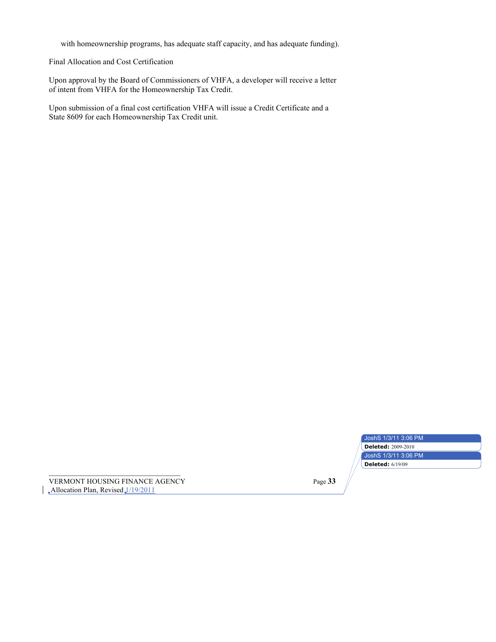with homeownership programs, has adequate staff capacity, and has adequate funding).

Final Allocation and Cost Certification

Upon approval by the Board of Commissioners of VHFA, a developer will receive a letter of intent from VHFA for the Homeownership Tax Credit.

Upon submission of a final cost certification VHFA will issue a Credit Certificate and a State 8609 for each Homeownership Tax Credit unit.

| JoshS 1/3/11 3:06 PM      |  |
|---------------------------|--|
| <b>Deleted: 2009-2010</b> |  |
| JoshS 1/3/11 3:06 PM      |  |
| <b>Deleted: 6/19/09</b>   |  |

VERMONT HOUSING FINANCE AGENCY Page **33**  $\sqrt{\frac{Allocation Plan}}$ , Revised  $\sqrt{\frac{1}{19/2011}}$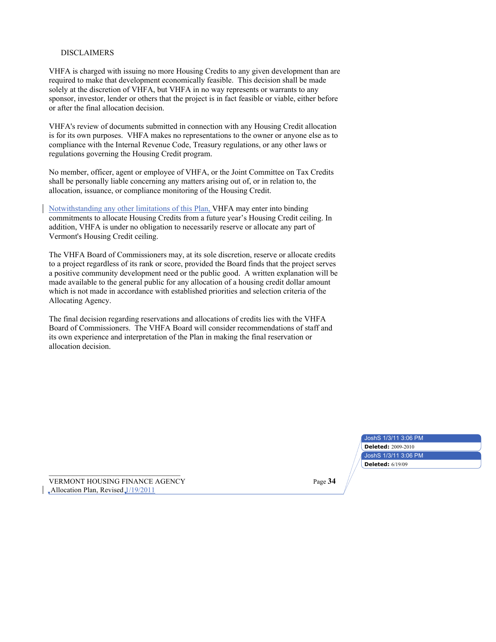### DISCLAIMERS

VHFA is charged with issuing no more Housing Credits to any given development than are required to make that development economically feasible. This decision shall be made solely at the discretion of VHFA, but VHFA in no way represents or warrants to any sponsor, investor, lender or others that the project is in fact feasible or viable, either before or after the final allocation decision.

VHFA's review of documents submitted in connection with any Housing Credit allocation is for its own purposes. VHFA makes no representations to the owner or anyone else as to compliance with the Internal Revenue Code, Treasury regulations, or any other laws or regulations governing the Housing Credit program.

No member, officer, agent or employee of VHFA, or the Joint Committee on Tax Credits shall be personally liable concerning any matters arising out of, or in relation to, the allocation, issuance, or compliance monitoring of the Housing Credit.

Notwithstanding any other limitations of this Plan, VHFA may enter into binding commitments to allocate Housing Credits from a future year's Housing Credit ceiling. In addition, VHFA is under no obligation to necessarily reserve or allocate any part of Vermont's Housing Credit ceiling.

The VHFA Board of Commissioners may, at its sole discretion, reserve or allocate credits to a project regardless of its rank or score, provided the Board finds that the project serves a positive community development need or the public good. A written explanation will be made available to the general public for any allocation of a housing credit dollar amount which is not made in accordance with established priorities and selection criteria of the Allocating Agency.

The final decision regarding reservations and allocations of credits lies with the VHFA Board of Commissioners. The VHFA Board will consider recommendations of staff and its own experience and interpretation of the Plan in making the final reservation or allocation decision.

| JoshS 1/3/11 3:06 PM      |
|---------------------------|
| <b>Deleted: 2009-2010</b> |
| JoshS 1/3/11 3:06 PM      |
| <b>Deleted: 6/19/09</b>   |

**VERMONT HOUSING FINANCE AGENCY**  $\Box$ Allocation Plan, Revised $\Box$ /19/2011